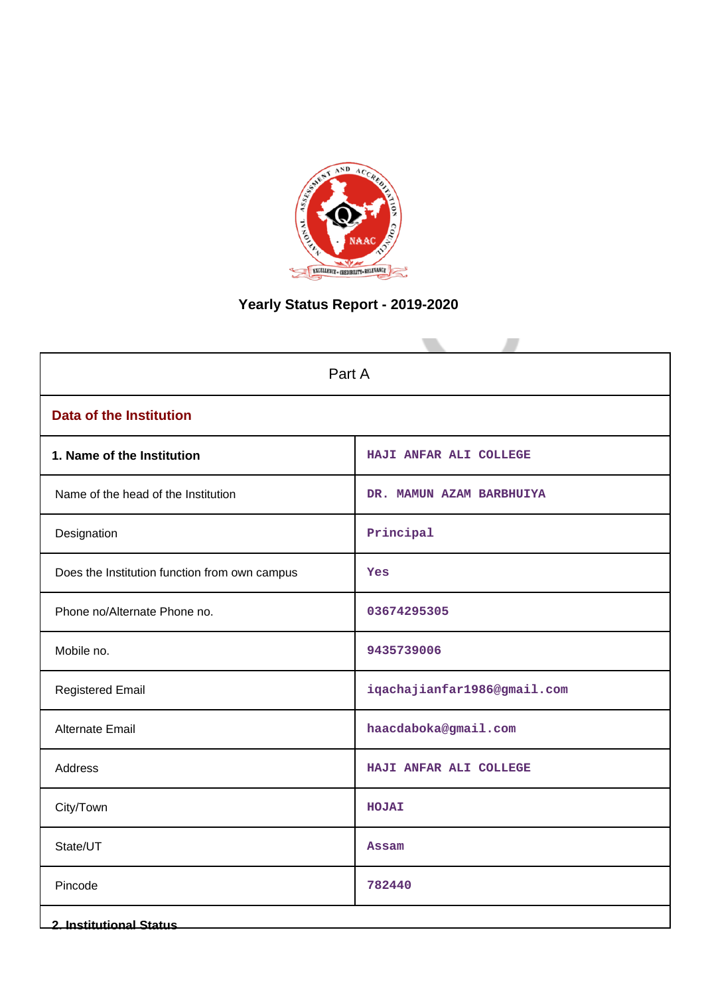

# **Yearly Status Report - 2019-2020**

| Part A                                        |                             |  |  |  |
|-----------------------------------------------|-----------------------------|--|--|--|
| <b>Data of the Institution</b>                |                             |  |  |  |
| 1. Name of the Institution                    | HAJI ANFAR ALI COLLEGE      |  |  |  |
| Name of the head of the Institution           | DR. MAMUN AZAM BARBHUIYA    |  |  |  |
| Designation                                   | Principal                   |  |  |  |
| Does the Institution function from own campus | Yes                         |  |  |  |
| Phone no/Alternate Phone no.                  | 03674295305                 |  |  |  |
| Mobile no.                                    | 9435739006                  |  |  |  |
| <b>Registered Email</b>                       | iqachajianfar1986@gmail.com |  |  |  |
| <b>Alternate Email</b>                        | haacdaboka@gmail.com        |  |  |  |
| Address                                       | HAJI ANFAR ALI COLLEGE      |  |  |  |
| City/Town                                     | HOJAI                       |  |  |  |
| State/UT                                      | <b>Assam</b>                |  |  |  |
| Pincode                                       | 782440                      |  |  |  |
| 2. Institutional Status                       |                             |  |  |  |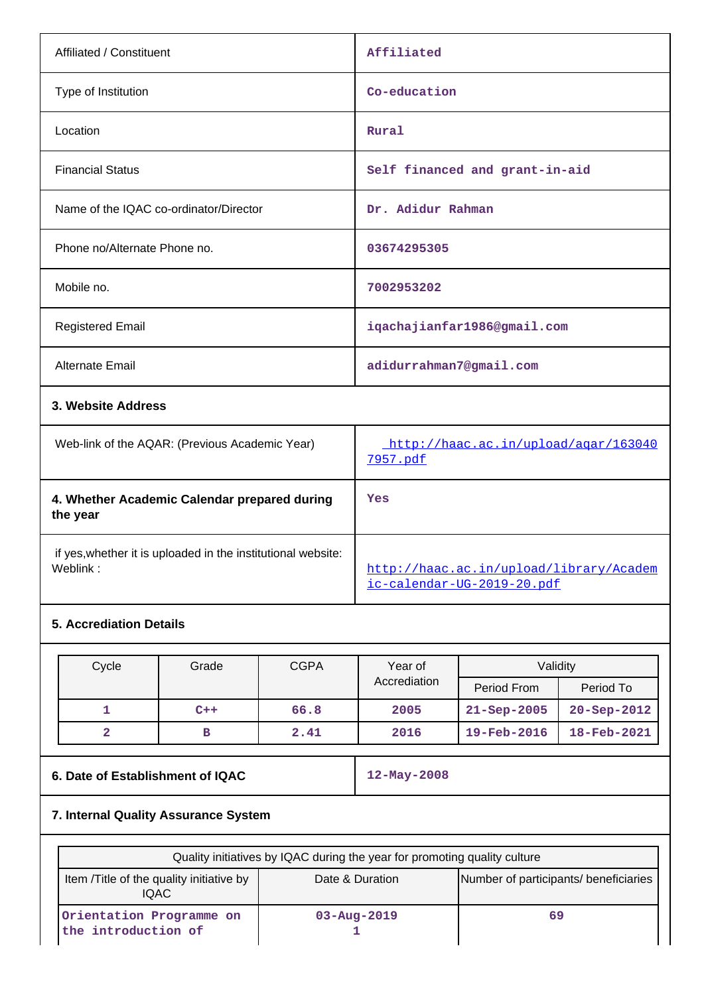| Affiliated / Constituent                       | Affiliated                           |
|------------------------------------------------|--------------------------------------|
| Type of Institution                            | Co-education                         |
| Location                                       | Rural                                |
| <b>Financial Status</b>                        | Self financed and grant-in-aid       |
| Name of the IQAC co-ordinator/Director         | Dr. Adidur Rahman                    |
| Phone no/Alternate Phone no.                   | 03674295305                          |
| Mobile no.                                     | 7002953202                           |
| <b>Registered Email</b>                        | iqachajianfar1986@gmail.com          |
| <b>Alternate Email</b>                         | adidurrahman7@gmail.com              |
| 3. Website Address                             |                                      |
| Web-link of the AQAR: (Previous Academic Year) | http://haac.ac.in/upload/agar/163040 |

|                                                                          | <u>7957.pdf</u>                                                       |
|--------------------------------------------------------------------------|-----------------------------------------------------------------------|
| 4. Whether Academic Calendar prepared during<br>the year                 | Yes                                                                   |
| if yes, whether it is uploaded in the institutional website:<br>Weblink: | http://haac.ac.in/upload/library/Academ<br>ic-calendar-UG-2019-20.pdf |

# **5. Accrediation Details**

| Cycle | Grade | <b>CGPA</b> | Year of      | Validitv                 |                          |
|-------|-------|-------------|--------------|--------------------------|--------------------------|
|       |       |             | Accrediation | Period From              | Period To                |
|       | $C++$ | 66.8        | 2005         | $21 - \text{Sep} - 2005$ | $20 - \text{Sep} - 2012$ |
|       | в     | 2.41        | 2016         | 19-Feb-2016              | 18-Feb-2021              |

# **6. Date of Establishment of IQAC** 12-May-2008

# **7. Internal Quality Assurance System**

| Quality initiatives by IQAC during the year for promoting quality culture |                   |                                       |  |  |  |
|---------------------------------------------------------------------------|-------------------|---------------------------------------|--|--|--|
| Item / Title of the quality initiative by<br><b>IQAC</b>                  | Date & Duration   | Number of participants/ beneficiaries |  |  |  |
| Orientation Programme on<br>the introduction of                           | $03 - Aug - 2019$ | 69                                    |  |  |  |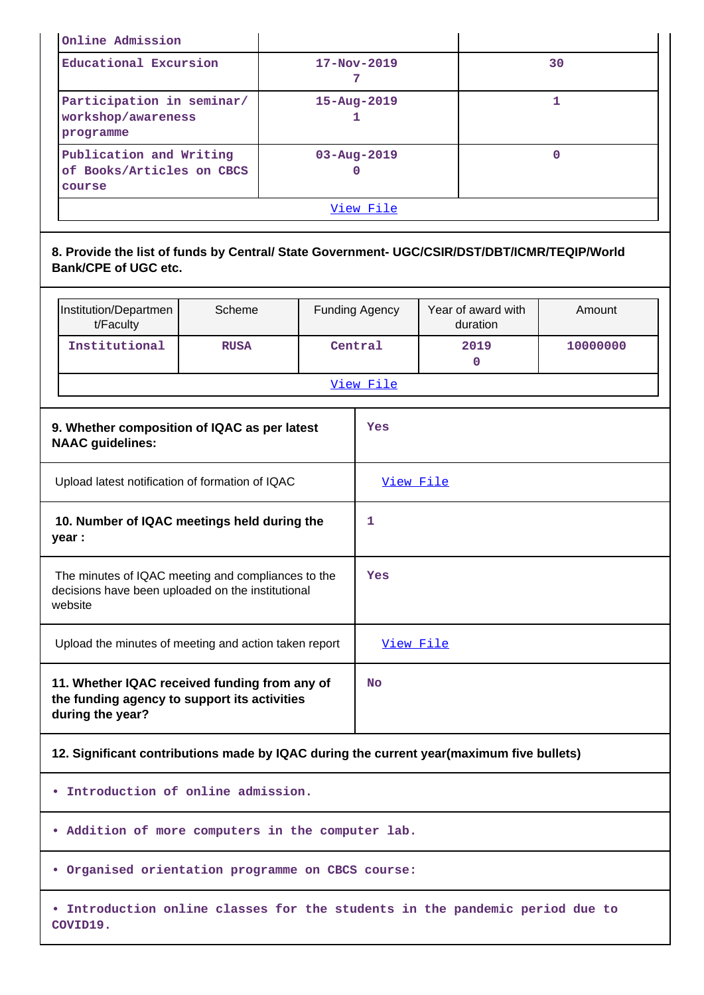| Online Admission                                               |                   |    |  |
|----------------------------------------------------------------|-------------------|----|--|
| Educational Excursion                                          | $17 - Nov - 2019$ | 30 |  |
| Participation in seminar/<br>workshop/awareness<br>programme   | $15 - Aug - 2019$ |    |  |
| Publication and Writing<br>of Books/Articles on CBCS<br>course | $03 - Aug - 2019$ | 0  |  |
|                                                                | View File         |    |  |

## **8. Provide the list of funds by Central/ State Government- UGC/CSIR/DST/DBT/ICMR/TEQIP/World Bank/CPE of UGC etc.**

|                                                                                                                    | Institution/Departmen<br>t/Faculty                                                       | Scheme      |    | <b>Funding Agency</b> | Year of award with<br>duration | Amount   |  |
|--------------------------------------------------------------------------------------------------------------------|------------------------------------------------------------------------------------------|-------------|----|-----------------------|--------------------------------|----------|--|
|                                                                                                                    | Institutional                                                                            | <b>RUSA</b> |    | Central               | 2019<br>0                      | 10000000 |  |
|                                                                                                                    |                                                                                          |             |    | View File             |                                |          |  |
| 9. Whether composition of IQAC as per latest<br><b>NAAC</b> guidelines:                                            |                                                                                          |             |    | Yes                   |                                |          |  |
| Upload latest notification of formation of IQAC                                                                    |                                                                                          |             |    | View File             |                                |          |  |
| 10. Number of IQAC meetings held during the<br>year :                                                              |                                                                                          |             | 1  |                       |                                |          |  |
| The minutes of IQAC meeting and compliances to the<br>decisions have been uploaded on the institutional<br>website |                                                                                          |             |    | Yes                   |                                |          |  |
|                                                                                                                    | Upload the minutes of meeting and action taken report                                    |             |    | View File             |                                |          |  |
| 11. Whether IQAC received funding from any of<br>the funding agency to support its activities<br>during the year?  |                                                                                          |             | No |                       |                                |          |  |
|                                                                                                                    | 12. Significant contributions made by IQAC during the current year(maximum five bullets) |             |    |                       |                                |          |  |
| · Introduction of online admission.                                                                                |                                                                                          |             |    |                       |                                |          |  |

**• Addition of more computers in the computer lab.**

**• Organised orientation programme on CBCS course:**

**• Introduction online classes for the students in the pandemic period due to COVID19.**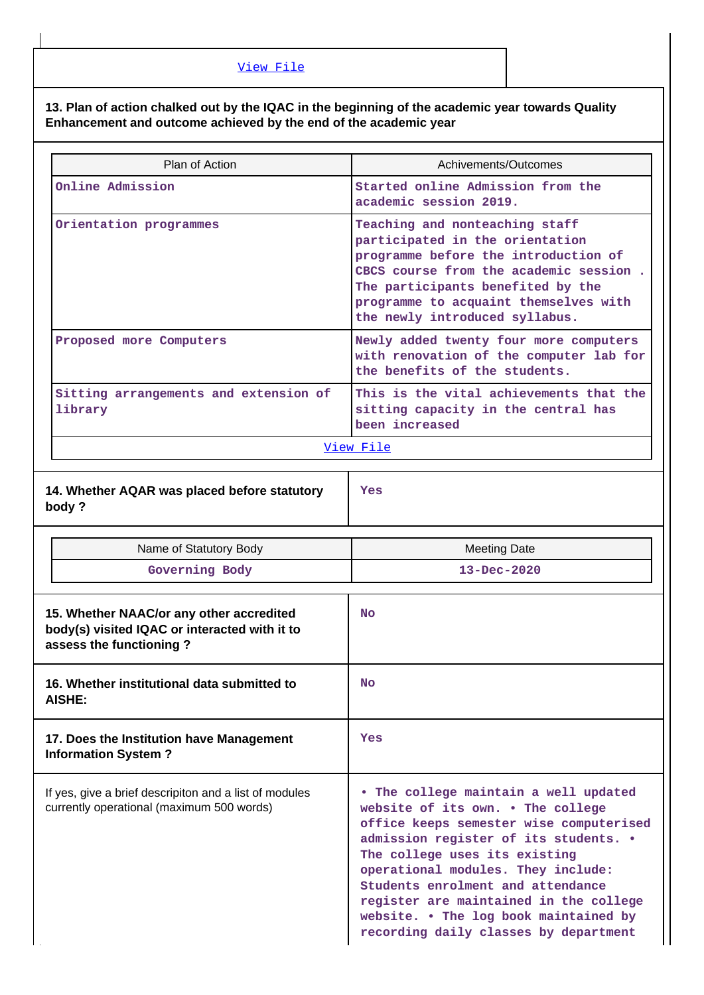## **13. Plan of action chalked out by the IQAC in the beginning of the academic year towards Quality Enhancement and outcome achieved by the end of the academic year**

| Plan of Action                                                                                                       | Achivements/Outcomes                                                                                                                                                                                                                                                |  |  |  |  |
|----------------------------------------------------------------------------------------------------------------------|---------------------------------------------------------------------------------------------------------------------------------------------------------------------------------------------------------------------------------------------------------------------|--|--|--|--|
| Online Admission                                                                                                     | Started online Admission from the<br>academic session 2019.                                                                                                                                                                                                         |  |  |  |  |
| Orientation programmes                                                                                               | Teaching and nonteaching staff<br>participated in the orientation<br>programme before the introduction of<br>CBCS course from the academic session.<br>The participants benefited by the<br>programme to acquaint themselves with<br>the newly introduced syllabus. |  |  |  |  |
| Proposed more Computers                                                                                              | Newly added twenty four more computers<br>with renovation of the computer lab for<br>the benefits of the students.                                                                                                                                                  |  |  |  |  |
| Sitting arrangements and extension of<br>library                                                                     | This is the vital achievements that the<br>sitting capacity in the central has<br>been increased                                                                                                                                                                    |  |  |  |  |
|                                                                                                                      | View File                                                                                                                                                                                                                                                           |  |  |  |  |
| 14. Whether AQAR was placed before statutory<br>body?                                                                | Yes                                                                                                                                                                                                                                                                 |  |  |  |  |
| Name of Statutory Body                                                                                               | <b>Meeting Date</b>                                                                                                                                                                                                                                                 |  |  |  |  |
| Governing Body                                                                                                       | $13 - Dec - 2020$                                                                                                                                                                                                                                                   |  |  |  |  |
| 15. Whether NAAC/or any other accredited<br>body(s) visited IQAC or interacted with it to<br>assess the functioning? | <b>No</b>                                                                                                                                                                                                                                                           |  |  |  |  |
| 16. Whether institutional data submitted to<br>AISHE:                                                                | <b>No</b>                                                                                                                                                                                                                                                           |  |  |  |  |
|                                                                                                                      |                                                                                                                                                                                                                                                                     |  |  |  |  |
| 17. Does the Institution have Management<br><b>Information System?</b>                                               | Yes                                                                                                                                                                                                                                                                 |  |  |  |  |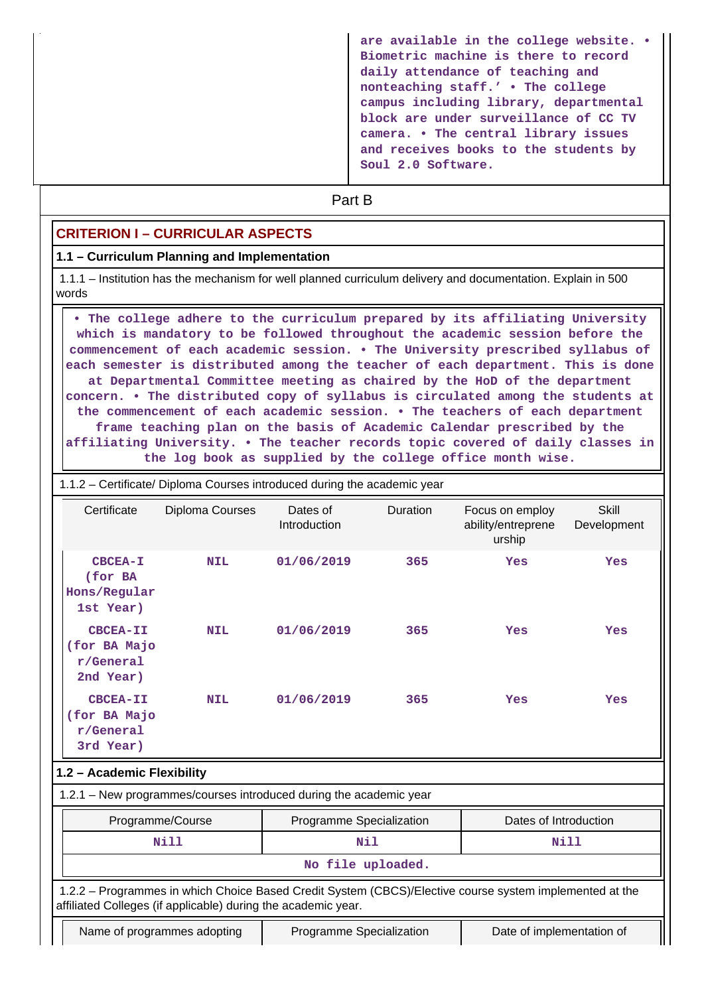| are available in the college website. .<br>Biometric machine is there to record<br>daily attendance of teaching and<br>nonteaching staff.' . The college<br>campus including library, departmental<br>block are under surveillance of CC TV<br>camera. • The central library issues<br>and receives books to the students by |
|------------------------------------------------------------------------------------------------------------------------------------------------------------------------------------------------------------------------------------------------------------------------------------------------------------------------------|
| Soul 2.0 Software.                                                                                                                                                                                                                                                                                                           |

# **Part B**

### **CRITERION I – CURRICULAR ASPECTS**

#### **1.1 – Curriculum Planning and Implementation**

 1.1.1 – Institution has the mechanism for well planned curriculum delivery and documentation. Explain in 500 words

 **• The college adhere to the curriculum prepared by its affiliating University which is mandatory to be followed throughout the academic session before the commencement of each academic session. • The University prescribed syllabus of each semester is distributed among the teacher of each department. This is done at Departmental Committee meeting as chaired by the HoD of the department concern. • The distributed copy of syllabus is circulated among the students at the commencement of each academic session. • The teachers of each department frame teaching plan on the basis of Academic Calendar prescribed by the affiliating University. • The teacher records topic covered of daily classes in the log book as supplied by the college office month wise.**

#### 1.1.2 – Certificate/ Diploma Courses introduced during the academic year

| Certificate                                                   | <b>Diploma Courses</b>      | Dates of<br>Introduction                                           | Duration | Focus on employ<br>ability/entreprene<br>urship                                                         | Skill<br>Development |  |
|---------------------------------------------------------------|-----------------------------|--------------------------------------------------------------------|----------|---------------------------------------------------------------------------------------------------------|----------------------|--|
| CBCEA-I<br>(for BA<br>Hons/Regular<br>1st Year)               | <b>NIL</b>                  | 01/06/2019                                                         | 365      | Yes                                                                                                     | Yes                  |  |
| CBCEA-II<br>(for BA Majo<br>r/General<br>2nd Year)            | <b>NIL</b>                  | 01/06/2019                                                         | 365      | Yes                                                                                                     | Yes                  |  |
| <b>CBCEA-II</b><br>(for BA Majo<br>r/General<br>3rd Year)     | <b>NIL</b>                  | 01/06/2019<br>365                                                  |          | Yes                                                                                                     | Yes                  |  |
| 1.2 - Academic Flexibility                                    |                             |                                                                    |          |                                                                                                         |                      |  |
|                                                               |                             | 1.2.1 - New programmes/courses introduced during the academic year |          |                                                                                                         |                      |  |
|                                                               | Programme/Course            | Programme Specialization                                           |          | Dates of Introduction                                                                                   |                      |  |
| <b>Nill</b>                                                   |                             | Nil                                                                |          | <b>Nill</b>                                                                                             |                      |  |
|                                                               |                             | No file uploaded.                                                  |          |                                                                                                         |                      |  |
| affiliated Colleges (if applicable) during the academic year. |                             |                                                                    |          | 1.2.2 - Programmes in which Choice Based Credit System (CBCS)/Elective course system implemented at the |                      |  |
|                                                               | Name of programmes adopting | Programme Specialization<br>Date of implementation of              |          |                                                                                                         |                      |  |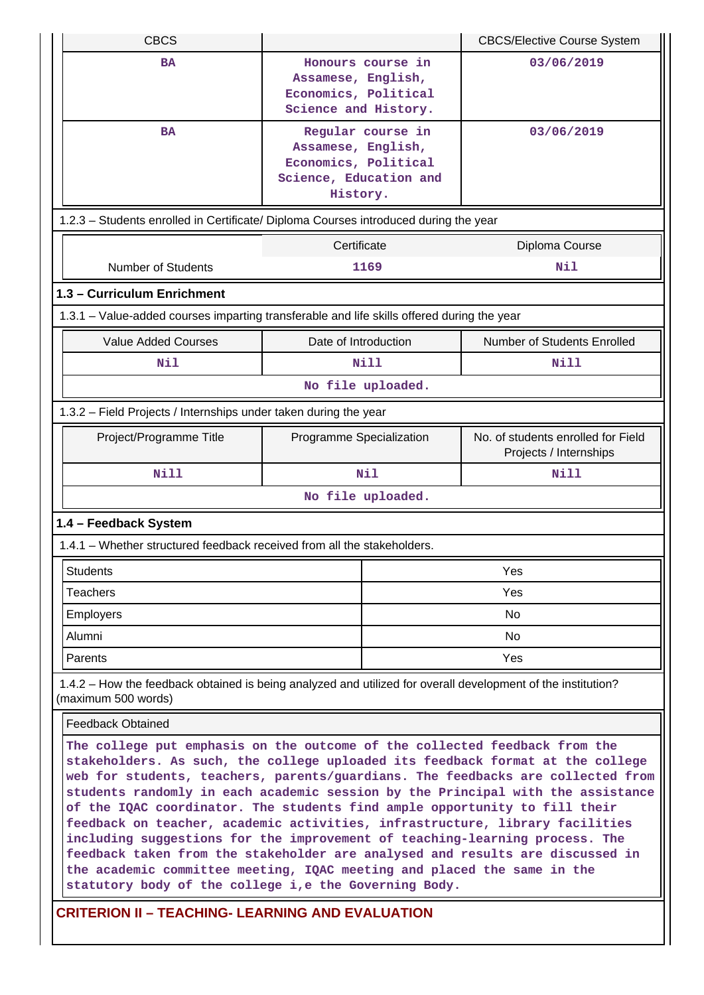| <b>CBCS</b>                                                                                                                                                                                                                                                                                                                                                                                                                                                                                                                                                                                                                                                                                                                                                                                           | <b>CBCS/Elective Course System</b>                                                                    |  |                                                              |  |  |
|-------------------------------------------------------------------------------------------------------------------------------------------------------------------------------------------------------------------------------------------------------------------------------------------------------------------------------------------------------------------------------------------------------------------------------------------------------------------------------------------------------------------------------------------------------------------------------------------------------------------------------------------------------------------------------------------------------------------------------------------------------------------------------------------------------|-------------------------------------------------------------------------------------------------------|--|--------------------------------------------------------------|--|--|
| <b>BA</b>                                                                                                                                                                                                                                                                                                                                                                                                                                                                                                                                                                                                                                                                                                                                                                                             | Honours course in<br>Assamese, English,<br>Economics, Political<br>Science and History.               |  | 03/06/2019                                                   |  |  |
| <b>BA</b>                                                                                                                                                                                                                                                                                                                                                                                                                                                                                                                                                                                                                                                                                                                                                                                             | Regular course in<br>Assamese, English,<br>Economics, Political<br>Science, Education and<br>History. |  | 03/06/2019                                                   |  |  |
| 1.2.3 - Students enrolled in Certificate/ Diploma Courses introduced during the year                                                                                                                                                                                                                                                                                                                                                                                                                                                                                                                                                                                                                                                                                                                  |                                                                                                       |  |                                                              |  |  |
|                                                                                                                                                                                                                                                                                                                                                                                                                                                                                                                                                                                                                                                                                                                                                                                                       | Certificate                                                                                           |  | Diploma Course                                               |  |  |
| <b>Number of Students</b>                                                                                                                                                                                                                                                                                                                                                                                                                                                                                                                                                                                                                                                                                                                                                                             | 1169                                                                                                  |  | Nil                                                          |  |  |
| 1.3 - Curriculum Enrichment                                                                                                                                                                                                                                                                                                                                                                                                                                                                                                                                                                                                                                                                                                                                                                           |                                                                                                       |  |                                                              |  |  |
| 1.3.1 - Value-added courses imparting transferable and life skills offered during the year                                                                                                                                                                                                                                                                                                                                                                                                                                                                                                                                                                                                                                                                                                            |                                                                                                       |  |                                                              |  |  |
| <b>Value Added Courses</b>                                                                                                                                                                                                                                                                                                                                                                                                                                                                                                                                                                                                                                                                                                                                                                            | Date of Introduction                                                                                  |  | Number of Students Enrolled                                  |  |  |
| Nil                                                                                                                                                                                                                                                                                                                                                                                                                                                                                                                                                                                                                                                                                                                                                                                                   | <b>Nill</b>                                                                                           |  | Nill                                                         |  |  |
|                                                                                                                                                                                                                                                                                                                                                                                                                                                                                                                                                                                                                                                                                                                                                                                                       | No file uploaded.                                                                                     |  |                                                              |  |  |
| 1.3.2 - Field Projects / Internships under taken during the year                                                                                                                                                                                                                                                                                                                                                                                                                                                                                                                                                                                                                                                                                                                                      |                                                                                                       |  |                                                              |  |  |
| Project/Programme Title                                                                                                                                                                                                                                                                                                                                                                                                                                                                                                                                                                                                                                                                                                                                                                               | Programme Specialization                                                                              |  | No. of students enrolled for Field<br>Projects / Internships |  |  |
| <b>Nill</b>                                                                                                                                                                                                                                                                                                                                                                                                                                                                                                                                                                                                                                                                                                                                                                                           | Nil                                                                                                   |  | Nill                                                         |  |  |
|                                                                                                                                                                                                                                                                                                                                                                                                                                                                                                                                                                                                                                                                                                                                                                                                       | No file uploaded.                                                                                     |  |                                                              |  |  |
| 1.4 - Feedback System                                                                                                                                                                                                                                                                                                                                                                                                                                                                                                                                                                                                                                                                                                                                                                                 |                                                                                                       |  |                                                              |  |  |
| 1.4.1 - Whether structured feedback received from all the stakeholders.                                                                                                                                                                                                                                                                                                                                                                                                                                                                                                                                                                                                                                                                                                                               |                                                                                                       |  |                                                              |  |  |
| <b>Students</b>                                                                                                                                                                                                                                                                                                                                                                                                                                                                                                                                                                                                                                                                                                                                                                                       |                                                                                                       |  | Yes                                                          |  |  |
| <b>Teachers</b>                                                                                                                                                                                                                                                                                                                                                                                                                                                                                                                                                                                                                                                                                                                                                                                       |                                                                                                       |  | Yes                                                          |  |  |
| <b>Employers</b>                                                                                                                                                                                                                                                                                                                                                                                                                                                                                                                                                                                                                                                                                                                                                                                      |                                                                                                       |  | No                                                           |  |  |
| Alumni                                                                                                                                                                                                                                                                                                                                                                                                                                                                                                                                                                                                                                                                                                                                                                                                |                                                                                                       |  | No                                                           |  |  |
| Parents                                                                                                                                                                                                                                                                                                                                                                                                                                                                                                                                                                                                                                                                                                                                                                                               |                                                                                                       |  | Yes                                                          |  |  |
| 1.4.2 – How the feedback obtained is being analyzed and utilized for overall development of the institution?<br>(maximum 500 words)                                                                                                                                                                                                                                                                                                                                                                                                                                                                                                                                                                                                                                                                   |                                                                                                       |  |                                                              |  |  |
| <b>Feedback Obtained</b>                                                                                                                                                                                                                                                                                                                                                                                                                                                                                                                                                                                                                                                                                                                                                                              |                                                                                                       |  |                                                              |  |  |
| The college put emphasis on the outcome of the collected feedback from the<br>stakeholders. As such, the college uploaded its feedback format at the college<br>web for students, teachers, parents/guardians. The feedbacks are collected from<br>students randomly in each academic session by the Principal with the assistance<br>of the IQAC coordinator. The students find ample opportunity to fill their<br>feedback on teacher, academic activities, infrastructure, library facilities<br>including suggestions for the improvement of teaching-learning process. The<br>feedback taken from the stakeholder are analysed and results are discussed in<br>the academic committee meeting, IQAC meeting and placed the same in the<br>statutory body of the college i, e the Governing Body. |                                                                                                       |  |                                                              |  |  |
| <b>CRITERION II - TEACHING- LEARNING AND EVALUATION</b>                                                                                                                                                                                                                                                                                                                                                                                                                                                                                                                                                                                                                                                                                                                                               |                                                                                                       |  |                                                              |  |  |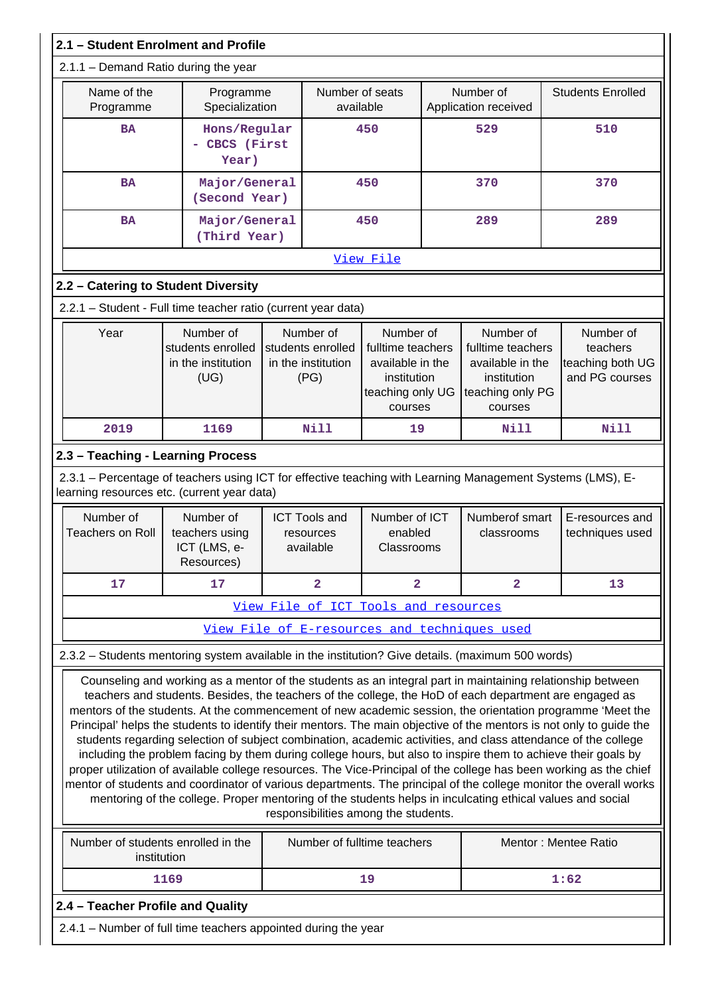| 2.1 - Student Enrolment and Profile                                                                                                                                                                                                                                                                                                                                                                                                                                                                                                                                                                                                                                                                                                                                                                                                                                                                                                                                                                                                                                                        |                                                              |  |                                                              |                                                                                                  |  |                                                                                                  |                                                             |
|--------------------------------------------------------------------------------------------------------------------------------------------------------------------------------------------------------------------------------------------------------------------------------------------------------------------------------------------------------------------------------------------------------------------------------------------------------------------------------------------------------------------------------------------------------------------------------------------------------------------------------------------------------------------------------------------------------------------------------------------------------------------------------------------------------------------------------------------------------------------------------------------------------------------------------------------------------------------------------------------------------------------------------------------------------------------------------------------|--------------------------------------------------------------|--|--------------------------------------------------------------|--------------------------------------------------------------------------------------------------|--|--------------------------------------------------------------------------------------------------|-------------------------------------------------------------|
| $2.1.1 -$ Demand Ratio during the year                                                                                                                                                                                                                                                                                                                                                                                                                                                                                                                                                                                                                                                                                                                                                                                                                                                                                                                                                                                                                                                     |                                                              |  |                                                              |                                                                                                  |  |                                                                                                  |                                                             |
| Name of the<br>Programme                                                                                                                                                                                                                                                                                                                                                                                                                                                                                                                                                                                                                                                                                                                                                                                                                                                                                                                                                                                                                                                                   | Programme<br>Specialization                                  |  | Number of seats<br>available                                 |                                                                                                  |  | Number of<br>Application received                                                                | <b>Students Enrolled</b>                                    |
| <b>BA</b>                                                                                                                                                                                                                                                                                                                                                                                                                                                                                                                                                                                                                                                                                                                                                                                                                                                                                                                                                                                                                                                                                  | Hons/Regular<br>CBCS (First<br>Year)                         |  | 450                                                          |                                                                                                  |  | 529                                                                                              | 510                                                         |
| <b>BA</b>                                                                                                                                                                                                                                                                                                                                                                                                                                                                                                                                                                                                                                                                                                                                                                                                                                                                                                                                                                                                                                                                                  | Major/General<br>(Second Year)                               |  |                                                              | 450                                                                                              |  | 370                                                                                              | 370                                                         |
| <b>BA</b>                                                                                                                                                                                                                                                                                                                                                                                                                                                                                                                                                                                                                                                                                                                                                                                                                                                                                                                                                                                                                                                                                  | Major/General<br>(Third Year)                                |  |                                                              | 450                                                                                              |  | 289                                                                                              | 289                                                         |
|                                                                                                                                                                                                                                                                                                                                                                                                                                                                                                                                                                                                                                                                                                                                                                                                                                                                                                                                                                                                                                                                                            |                                                              |  |                                                              | View File                                                                                        |  |                                                                                                  |                                                             |
| 2.2 - Catering to Student Diversity                                                                                                                                                                                                                                                                                                                                                                                                                                                                                                                                                                                                                                                                                                                                                                                                                                                                                                                                                                                                                                                        |                                                              |  |                                                              |                                                                                                  |  |                                                                                                  |                                                             |
| 2.2.1 - Student - Full time teacher ratio (current year data)                                                                                                                                                                                                                                                                                                                                                                                                                                                                                                                                                                                                                                                                                                                                                                                                                                                                                                                                                                                                                              |                                                              |  |                                                              |                                                                                                  |  |                                                                                                  |                                                             |
| Year                                                                                                                                                                                                                                                                                                                                                                                                                                                                                                                                                                                                                                                                                                                                                                                                                                                                                                                                                                                                                                                                                       | Number of<br>students enrolled<br>in the institution<br>(UG) |  | Number of<br>students enrolled<br>in the institution<br>(PG) | Number of<br>fulltime teachers<br>available in the<br>institution<br>teaching only UG<br>courses |  | Number of<br>fulltime teachers<br>available in the<br>institution<br>teaching only PG<br>courses | Number of<br>teachers<br>teaching both UG<br>and PG courses |
| 2019                                                                                                                                                                                                                                                                                                                                                                                                                                                                                                                                                                                                                                                                                                                                                                                                                                                                                                                                                                                                                                                                                       | 1169                                                         |  | <b>Nill</b>                                                  | 19                                                                                               |  | Nill                                                                                             | <b>Nill</b>                                                 |
| 2.3 - Teaching - Learning Process                                                                                                                                                                                                                                                                                                                                                                                                                                                                                                                                                                                                                                                                                                                                                                                                                                                                                                                                                                                                                                                          |                                                              |  |                                                              |                                                                                                  |  |                                                                                                  |                                                             |
| 2.3.1 - Percentage of teachers using ICT for effective teaching with Learning Management Systems (LMS), E-<br>learning resources etc. (current year data)                                                                                                                                                                                                                                                                                                                                                                                                                                                                                                                                                                                                                                                                                                                                                                                                                                                                                                                                  |                                                              |  |                                                              |                                                                                                  |  |                                                                                                  |                                                             |
| Number of<br><b>Teachers on Roll</b>                                                                                                                                                                                                                                                                                                                                                                                                                                                                                                                                                                                                                                                                                                                                                                                                                                                                                                                                                                                                                                                       | Number of<br>teachers using<br>ICT (LMS, e-<br>Resources)    |  | <b>ICT Tools and</b><br>resources<br>available               | Number of ICT<br>enabled<br>Classrooms                                                           |  | Numberof smart<br>classrooms                                                                     | E-resources and<br>techniques used                          |
| 17                                                                                                                                                                                                                                                                                                                                                                                                                                                                                                                                                                                                                                                                                                                                                                                                                                                                                                                                                                                                                                                                                         | 17                                                           |  | $\overline{a}$                                               | $\overline{\mathbf{2}}$                                                                          |  | $\overline{2}$                                                                                   | 13                                                          |
|                                                                                                                                                                                                                                                                                                                                                                                                                                                                                                                                                                                                                                                                                                                                                                                                                                                                                                                                                                                                                                                                                            |                                                              |  | View File of ICT Tools and resources                         |                                                                                                  |  |                                                                                                  |                                                             |
|                                                                                                                                                                                                                                                                                                                                                                                                                                                                                                                                                                                                                                                                                                                                                                                                                                                                                                                                                                                                                                                                                            |                                                              |  |                                                              |                                                                                                  |  | View File of E-resources and techniques used                                                     |                                                             |
| 2.3.2 - Students mentoring system available in the institution? Give details. (maximum 500 words)                                                                                                                                                                                                                                                                                                                                                                                                                                                                                                                                                                                                                                                                                                                                                                                                                                                                                                                                                                                          |                                                              |  |                                                              |                                                                                                  |  |                                                                                                  |                                                             |
| Counseling and working as a mentor of the students as an integral part in maintaining relationship between<br>teachers and students. Besides, the teachers of the college, the HoD of each department are engaged as<br>mentors of the students. At the commencement of new academic session, the orientation programme 'Meet the<br>Principal' helps the students to identify their mentors. The main objective of the mentors is not only to guide the<br>students regarding selection of subject combination, academic activities, and class attendance of the college<br>including the problem facing by them during college hours, but also to inspire them to achieve their goals by<br>proper utilization of available college resources. The Vice-Principal of the college has been working as the chief<br>mentor of students and coordinator of various departments. The principal of the college monitor the overall works<br>mentoring of the college. Proper mentoring of the students helps in inculcating ethical values and social<br>responsibilities among the students. |                                                              |  |                                                              |                                                                                                  |  |                                                                                                  |                                                             |
|                                                                                                                                                                                                                                                                                                                                                                                                                                                                                                                                                                                                                                                                                                                                                                                                                                                                                                                                                                                                                                                                                            | Number of students enrolled in the<br>institution            |  | Number of fulltime teachers                                  |                                                                                                  |  |                                                                                                  | Mentor: Mentee Ratio                                        |
|                                                                                                                                                                                                                                                                                                                                                                                                                                                                                                                                                                                                                                                                                                                                                                                                                                                                                                                                                                                                                                                                                            | 1169                                                         |  |                                                              | 19                                                                                               |  |                                                                                                  | 1:62                                                        |
| 2.4 - Teacher Profile and Quality                                                                                                                                                                                                                                                                                                                                                                                                                                                                                                                                                                                                                                                                                                                                                                                                                                                                                                                                                                                                                                                          |                                                              |  |                                                              |                                                                                                  |  |                                                                                                  |                                                             |
| 2.4.1 – Number of full time teachers appointed during the year                                                                                                                                                                                                                                                                                                                                                                                                                                                                                                                                                                                                                                                                                                                                                                                                                                                                                                                                                                                                                             |                                                              |  |                                                              |                                                                                                  |  |                                                                                                  |                                                             |
|                                                                                                                                                                                                                                                                                                                                                                                                                                                                                                                                                                                                                                                                                                                                                                                                                                                                                                                                                                                                                                                                                            |                                                              |  |                                                              |                                                                                                  |  |                                                                                                  |                                                             |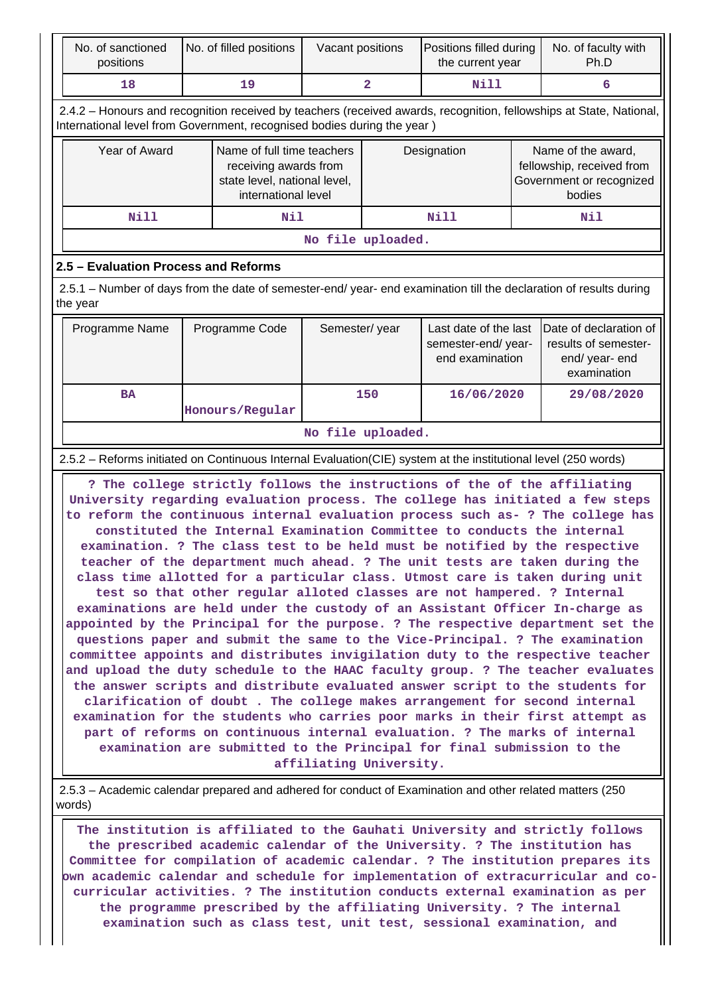| No. of sanctioned<br>positions                                                                                                                                                                                                                                                                                                                                                                                                                                                                                                                                                                                                                                                                                                                                                                                                                                                                                                                                                                                                                                                                                                                                                                                                                                                                                                                                                                                                                                                                                | No. of filled positions                                                                                                                                                                                                                                                                                                      | Vacant positions                                                                                           |                         | Positions filled during<br>the current year                    |  | No. of faculty with<br>Ph.D                                                                                         |  |  |  |  |
|---------------------------------------------------------------------------------------------------------------------------------------------------------------------------------------------------------------------------------------------------------------------------------------------------------------------------------------------------------------------------------------------------------------------------------------------------------------------------------------------------------------------------------------------------------------------------------------------------------------------------------------------------------------------------------------------------------------------------------------------------------------------------------------------------------------------------------------------------------------------------------------------------------------------------------------------------------------------------------------------------------------------------------------------------------------------------------------------------------------------------------------------------------------------------------------------------------------------------------------------------------------------------------------------------------------------------------------------------------------------------------------------------------------------------------------------------------------------------------------------------------------|------------------------------------------------------------------------------------------------------------------------------------------------------------------------------------------------------------------------------------------------------------------------------------------------------------------------------|------------------------------------------------------------------------------------------------------------|-------------------------|----------------------------------------------------------------|--|---------------------------------------------------------------------------------------------------------------------|--|--|--|--|
| 18                                                                                                                                                                                                                                                                                                                                                                                                                                                                                                                                                                                                                                                                                                                                                                                                                                                                                                                                                                                                                                                                                                                                                                                                                                                                                                                                                                                                                                                                                                            | 19                                                                                                                                                                                                                                                                                                                           |                                                                                                            | $\overline{\mathbf{2}}$ | <b>Nill</b>                                                    |  | 6                                                                                                                   |  |  |  |  |
| International level from Government, recognised bodies during the year)                                                                                                                                                                                                                                                                                                                                                                                                                                                                                                                                                                                                                                                                                                                                                                                                                                                                                                                                                                                                                                                                                                                                                                                                                                                                                                                                                                                                                                       |                                                                                                                                                                                                                                                                                                                              |                                                                                                            |                         |                                                                |  | 2.4.2 - Honours and recognition received by teachers (received awards, recognition, fellowships at State, National, |  |  |  |  |
| Year of Award                                                                                                                                                                                                                                                                                                                                                                                                                                                                                                                                                                                                                                                                                                                                                                                                                                                                                                                                                                                                                                                                                                                                                                                                                                                                                                                                                                                                                                                                                                 |                                                                                                                                                                                                                                                                                                                              | Name of full time teachers<br>receiving awards from<br>state level, national level,<br>international level |                         | Designation                                                    |  | Name of the award,<br>fellowship, received from<br>Government or recognized<br>bodies                               |  |  |  |  |
| Nill                                                                                                                                                                                                                                                                                                                                                                                                                                                                                                                                                                                                                                                                                                                                                                                                                                                                                                                                                                                                                                                                                                                                                                                                                                                                                                                                                                                                                                                                                                          | Nil                                                                                                                                                                                                                                                                                                                          |                                                                                                            |                         | <b>Nill</b>                                                    |  | Nil                                                                                                                 |  |  |  |  |
|                                                                                                                                                                                                                                                                                                                                                                                                                                                                                                                                                                                                                                                                                                                                                                                                                                                                                                                                                                                                                                                                                                                                                                                                                                                                                                                                                                                                                                                                                                               |                                                                                                                                                                                                                                                                                                                              | No file uploaded.                                                                                          |                         |                                                                |  |                                                                                                                     |  |  |  |  |
| 2.5 - Evaluation Process and Reforms                                                                                                                                                                                                                                                                                                                                                                                                                                                                                                                                                                                                                                                                                                                                                                                                                                                                                                                                                                                                                                                                                                                                                                                                                                                                                                                                                                                                                                                                          |                                                                                                                                                                                                                                                                                                                              |                                                                                                            |                         |                                                                |  |                                                                                                                     |  |  |  |  |
| 2.5.1 – Number of days from the date of semester-end/ year- end examination till the declaration of results during<br>the year                                                                                                                                                                                                                                                                                                                                                                                                                                                                                                                                                                                                                                                                                                                                                                                                                                                                                                                                                                                                                                                                                                                                                                                                                                                                                                                                                                                |                                                                                                                                                                                                                                                                                                                              |                                                                                                            |                         |                                                                |  |                                                                                                                     |  |  |  |  |
| Programme Name<br>Programme Code                                                                                                                                                                                                                                                                                                                                                                                                                                                                                                                                                                                                                                                                                                                                                                                                                                                                                                                                                                                                                                                                                                                                                                                                                                                                                                                                                                                                                                                                              |                                                                                                                                                                                                                                                                                                                              | Semester/year                                                                                              |                         | Last date of the last<br>semester-end/year-<br>end examination |  | Date of declaration of<br>results of semester-<br>end/ year- end<br>examination                                     |  |  |  |  |
| <b>BA</b>                                                                                                                                                                                                                                                                                                                                                                                                                                                                                                                                                                                                                                                                                                                                                                                                                                                                                                                                                                                                                                                                                                                                                                                                                                                                                                                                                                                                                                                                                                     | Honours/Regular                                                                                                                                                                                                                                                                                                              |                                                                                                            | 150                     | 16/06/2020                                                     |  | 29/08/2020                                                                                                          |  |  |  |  |
|                                                                                                                                                                                                                                                                                                                                                                                                                                                                                                                                                                                                                                                                                                                                                                                                                                                                                                                                                                                                                                                                                                                                                                                                                                                                                                                                                                                                                                                                                                               |                                                                                                                                                                                                                                                                                                                              | No file uploaded.                                                                                          |                         |                                                                |  |                                                                                                                     |  |  |  |  |
| 2.5.2 - Reforms initiated on Continuous Internal Evaluation(CIE) system at the institutional level (250 words)                                                                                                                                                                                                                                                                                                                                                                                                                                                                                                                                                                                                                                                                                                                                                                                                                                                                                                                                                                                                                                                                                                                                                                                                                                                                                                                                                                                                |                                                                                                                                                                                                                                                                                                                              |                                                                                                            |                         |                                                                |  |                                                                                                                     |  |  |  |  |
| ? The college strictly follows the instructions of the of the affiliating<br>University regarding evaluation process. The college has initiated a few steps<br>to reform the continuous internal evaluation process such as- ? The college has<br>constituted the Internal Examination Committee to conducts the internal<br>examination. ? The class test to be held must be notified by the respective<br>teacher of the department much ahead. ? The unit tests are taken during the<br>class time allotted for a particular class. Utmost care is taken during unit<br>test so that other regular alloted classes are not hampered. ? Internal<br>examinations are held under the custody of an Assistant Officer In-charge as<br>appointed by the Principal for the purpose. ? The respective department set the<br>questions paper and submit the same to the Vice-Principal. ? The examination<br>committee appoints and distributes invigilation duty to the respective teacher<br>and upload the duty schedule to the HAAC faculty group. ? The teacher evaluates<br>the answer scripts and distribute evaluated answer script to the students for<br>clarification of doubt . The college makes arrangement for second internal<br>examination for the students who carries poor marks in their first attempt as<br>part of reforms on continuous internal evaluation. ? The marks of internal<br>examination are submitted to the Principal for final submission to the<br>affiliating University. |                                                                                                                                                                                                                                                                                                                              |                                                                                                            |                         |                                                                |  |                                                                                                                     |  |  |  |  |
| 2.5.3 - Academic calendar prepared and adhered for conduct of Examination and other related matters (250<br>words)                                                                                                                                                                                                                                                                                                                                                                                                                                                                                                                                                                                                                                                                                                                                                                                                                                                                                                                                                                                                                                                                                                                                                                                                                                                                                                                                                                                            |                                                                                                                                                                                                                                                                                                                              |                                                                                                            |                         |                                                                |  |                                                                                                                     |  |  |  |  |
|                                                                                                                                                                                                                                                                                                                                                                                                                                                                                                                                                                                                                                                                                                                                                                                                                                                                                                                                                                                                                                                                                                                                                                                                                                                                                                                                                                                                                                                                                                               | The institution is affiliated to the Gauhati University and strictly follows<br>the prescribed academic calendar of the University. ? The institution has<br>Committee for compilation of academic calendar. ? The institution prepares its<br>curricular activities .? The institution conducts external examination as per |                                                                                                            |                         |                                                                |  | bwn academic calendar and schedule for implementation of extracurricular and co-                                    |  |  |  |  |

**curricular activities. ? The institution conducts external examination as per the programme prescribed by the affiliating University. ? The internal examination such as class test, unit test, sessional examination, and**

 $\parallel$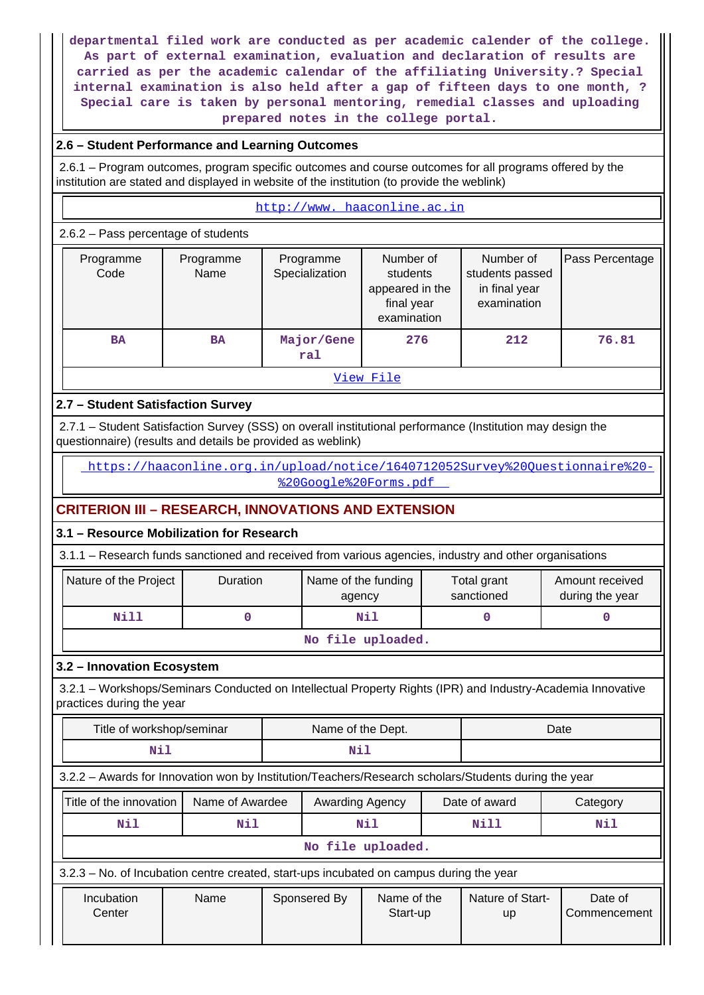**departmental filed work are conducted as per academic calender of the college. As part of external examination, evaluation and declaration of results are carried as per the academic calendar of the affiliating University.? Special internal examination is also held after a gap of fifteen days to one month, ? Special care is taken by personal mentoring, remedial classes and uploading prepared notes in the college portal.**

## **2.6 – Student Performance and Learning Outcomes**

 2.6.1 – Program outcomes, program specific outcomes and course outcomes for all programs offered by the institution are stated and displayed in website of the institution (to provide the weblink)

#### <http://www. haaconline.ac.in>

#### 2.6.2 – Pass percentage of students

| Programme<br>Code | Programme<br>Name | Programme<br>Specialization | Number of<br>students<br>appeared in the<br>final year<br>examination | Number of<br>students passed<br>in final year<br>examination | Pass Percentage |  |  |
|-------------------|-------------------|-----------------------------|-----------------------------------------------------------------------|--------------------------------------------------------------|-----------------|--|--|
| <b>BA</b>         | <b>BA</b>         | Major/Gene<br>ral           | 276                                                                   | 212                                                          | 76.81           |  |  |
|                   | View File         |                             |                                                                       |                                                              |                 |  |  |

## **2.7 – Student Satisfaction Survey**

 2.7.1 – Student Satisfaction Survey (SSS) on overall institutional performance (Institution may design the questionnaire) (results and details be provided as weblink)

 [https://haaconline.org.in/upload/notice/1640712052Survey%20Questionnaire%20-](https://haaconline.org.in/upload/notice/1640712052Survey%20Questionnaire%20-%20Google%20Forms.pdf) [%20Google%20Forms.pdf](https://haaconline.org.in/upload/notice/1640712052Survey%20Questionnaire%20-%20Google%20Forms.pdf) 

# **CRITERION III – RESEARCH, INNOVATIONS AND EXTENSION**

# **3.1 – Resource Mobilization for Research**

3.1.1 – Research funds sanctioned and received from various agencies, industry and other organisations

| Nature of the Project            | <b>Duration</b> | Name of the funding<br>agency | Total grant<br>sanctioned | Amount received<br>during the year |  |  |
|----------------------------------|-----------------|-------------------------------|---------------------------|------------------------------------|--|--|
| Nill                             |                 | Nil                           |                           |                                    |  |  |
| المتحال والمتحدث والمرابط المتحد |                 |                               |                           |                                    |  |  |

#### **No file uploaded.**

## **3.2 – Innovation Ecosystem**

 3.2.1 – Workshops/Seminars Conducted on Intellectual Property Rights (IPR) and Industry-Academia Innovative practices during the year

| Title of workshop/seminar                                                                  | Name of the Dept.                                                                                    |              |                         |                   | Date                          |                         |     |  |
|--------------------------------------------------------------------------------------------|------------------------------------------------------------------------------------------------------|--------------|-------------------------|-------------------|-------------------------------|-------------------------|-----|--|
| Nil                                                                                        |                                                                                                      |              | Nil                     |                   |                               |                         |     |  |
|                                                                                            | 3.2.2 - Awards for Innovation won by Institution/Teachers/Research scholars/Students during the year |              |                         |                   |                               |                         |     |  |
| Title of the innovation<br>Date of award<br>Name of Awardee<br>Awarding Agency<br>Category |                                                                                                      |              |                         |                   |                               |                         |     |  |
| Nil                                                                                        | Nil                                                                                                  |              |                         | Nil               |                               | Nill                    | Nil |  |
|                                                                                            |                                                                                                      |              |                         | No file uploaded. |                               |                         |     |  |
| 3.2.3 – No. of Incubation centre created, start-ups incubated on campus during the year    |                                                                                                      |              |                         |                   |                               |                         |     |  |
| Incubation<br>Name<br>Center                                                               |                                                                                                      | Sponsered By | Name of the<br>Start-up |                   | Nature of Start-<br><b>up</b> | Date of<br>Commencement |     |  |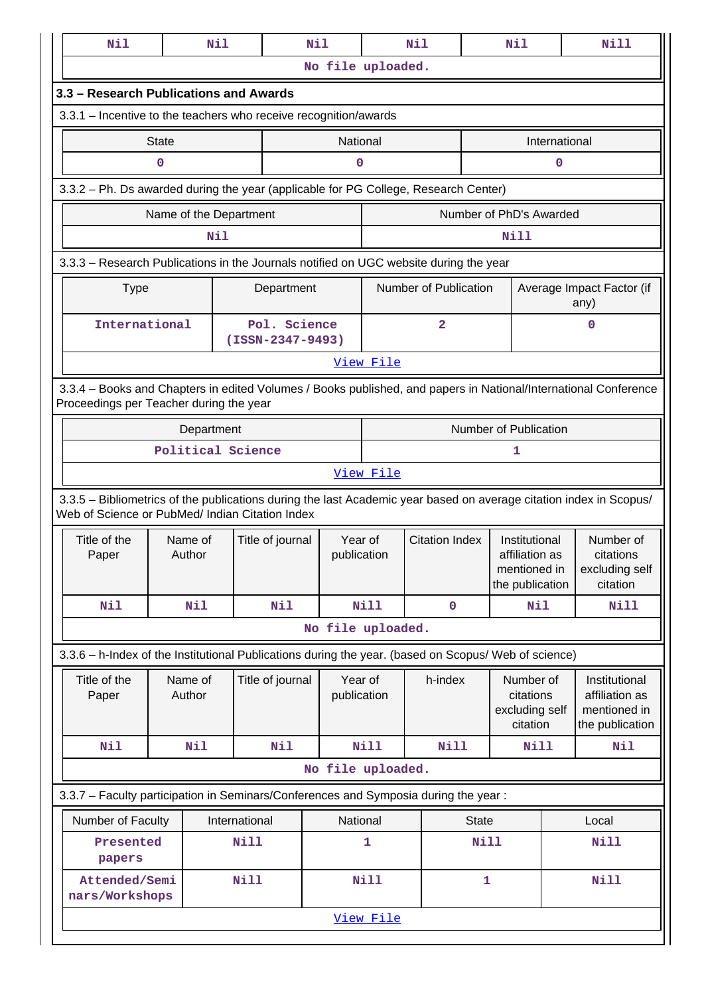| Nil                                                                                                                |              | Nil                    |                                    | Nil                    |                   | Nil                   |                    | Nil                             |               | Nill                                                                                                            |
|--------------------------------------------------------------------------------------------------------------------|--------------|------------------------|------------------------------------|------------------------|-------------------|-----------------------|--------------------|---------------------------------|---------------|-----------------------------------------------------------------------------------------------------------------|
|                                                                                                                    |              |                        |                                    | No file uploaded.      |                   |                       |                    |                                 |               |                                                                                                                 |
| 3.3 - Research Publications and Awards                                                                             |              |                        |                                    |                        |                   |                       |                    |                                 |               |                                                                                                                 |
| 3.3.1 - Incentive to the teachers who receive recognition/awards                                                   |              |                        |                                    |                        |                   |                       |                    |                                 |               |                                                                                                                 |
|                                                                                                                    | <b>State</b> |                        |                                    | National               |                   |                       |                    |                                 | International |                                                                                                                 |
|                                                                                                                    | $\mathbf 0$  |                        |                                    | 0                      |                   |                       |                    |                                 | 0             |                                                                                                                 |
| 3.3.2 - Ph. Ds awarded during the year (applicable for PG College, Research Center)                                |              |                        |                                    |                        |                   |                       |                    |                                 |               |                                                                                                                 |
|                                                                                                                    |              | Name of the Department |                                    |                        |                   |                       |                    | Number of PhD's Awarded         |               |                                                                                                                 |
|                                                                                                                    |              | Nil                    |                                    |                        |                   |                       |                    | Nill                            |               |                                                                                                                 |
| 3.3.3 - Research Publications in the Journals notified on UGC website during the year                              |              |                        |                                    |                        |                   |                       |                    |                                 |               |                                                                                                                 |
| <b>Type</b>                                                                                                        |              |                        | Department                         |                        |                   | Number of Publication |                    |                                 |               | Average Impact Factor (if<br>any)                                                                               |
| International                                                                                                      |              |                        | Pol. Science<br>$(ISSN-2347-9493)$ |                        |                   | $\overline{a}$        |                    |                                 |               | 0                                                                                                               |
|                                                                                                                    |              |                        |                                    |                        | <u>View File</u>  |                       |                    |                                 |               |                                                                                                                 |
|                                                                                                                    |              |                        |                                    |                        |                   |                       |                    |                                 |               | 3.3.4 – Books and Chapters in edited Volumes / Books published, and papers in National/International Conference |
| Proceedings per Teacher during the year                                                                            |              |                        |                                    |                        |                   |                       |                    |                                 |               |                                                                                                                 |
|                                                                                                                    | Department   |                        |                                    |                        |                   | Number of Publication |                    |                                 |               |                                                                                                                 |
|                                                                                                                    |              | Political Science      |                                    |                        | View File         |                       |                    | 1                               |               |                                                                                                                 |
| 3.3.5 - Bibliometrics of the publications during the last Academic year based on average citation index in Scopus/ |              |                        |                                    |                        |                   |                       |                    |                                 |               |                                                                                                                 |
| Web of Science or PubMed/ Indian Citation Index                                                                    |              |                        |                                    |                        |                   |                       |                    |                                 |               |                                                                                                                 |
| Title of the<br>Paper                                                                                              |              | Name of<br>Author      | Title of journal                   | Year of<br>publication |                   | <b>Citation Index</b> |                    | Institutional<br>affiliation as |               | Number of<br>citations                                                                                          |
|                                                                                                                    |              |                        |                                    |                        |                   |                       |                    | mentioned in<br>the publication |               | excluding self<br>citation                                                                                      |
| <b>Nil</b>                                                                                                         |              | Nil                    | <b>Nil</b>                         |                        | <b>Nill</b>       |                       | $\mathbf 0$<br>Nil |                                 | Nill          |                                                                                                                 |
|                                                                                                                    |              |                        |                                    |                        | No file uploaded. |                       |                    |                                 |               |                                                                                                                 |
| 3.3.6 - h-Index of the Institutional Publications during the year. (based on Scopus/ Web of science)               |              |                        |                                    |                        |                   |                       |                    |                                 |               |                                                                                                                 |
| Title of the                                                                                                       |              | Name of                | Title of journal                   | Year of                |                   | h-index               |                    | Number of                       |               | Institutional                                                                                                   |
| Paper                                                                                                              |              | Author                 |                                    | publication            |                   |                       |                    | citations<br>excluding self     |               | affiliation as<br>mentioned in                                                                                  |
|                                                                                                                    |              |                        |                                    |                        |                   |                       |                    | citation                        |               | the publication                                                                                                 |
| Nil                                                                                                                |              | Nil                    | <b>Nil</b>                         |                        | <b>Nill</b>       | Nill                  |                    | Nill                            |               | Nil                                                                                                             |
|                                                                                                                    |              |                        |                                    | No file uploaded.      |                   |                       |                    |                                 |               |                                                                                                                 |
| 3.3.7 - Faculty participation in Seminars/Conferences and Symposia during the year:                                |              |                        |                                    |                        |                   |                       |                    |                                 |               |                                                                                                                 |
| Number of Faculty<br>International                                                                                 |              |                        |                                    | National               |                   |                       | <b>State</b>       |                                 |               | Local                                                                                                           |
| Presented<br>papers                                                                                                |              |                        | <b>Nill</b>                        |                        | 1                 |                       | <b>Nill</b>        |                                 |               | <b>Nill</b>                                                                                                     |
| Attended/Semi<br>nars/Workshops                                                                                    |              | <b>Nill</b>            |                                    | <b>Nill</b>            |                   | $\mathbf{1}$          |                    | <b>Nill</b>                     |               |                                                                                                                 |
|                                                                                                                    |              |                        |                                    |                        | View File         |                       |                    |                                 |               |                                                                                                                 |
|                                                                                                                    |              |                        |                                    |                        |                   |                       |                    |                                 |               |                                                                                                                 |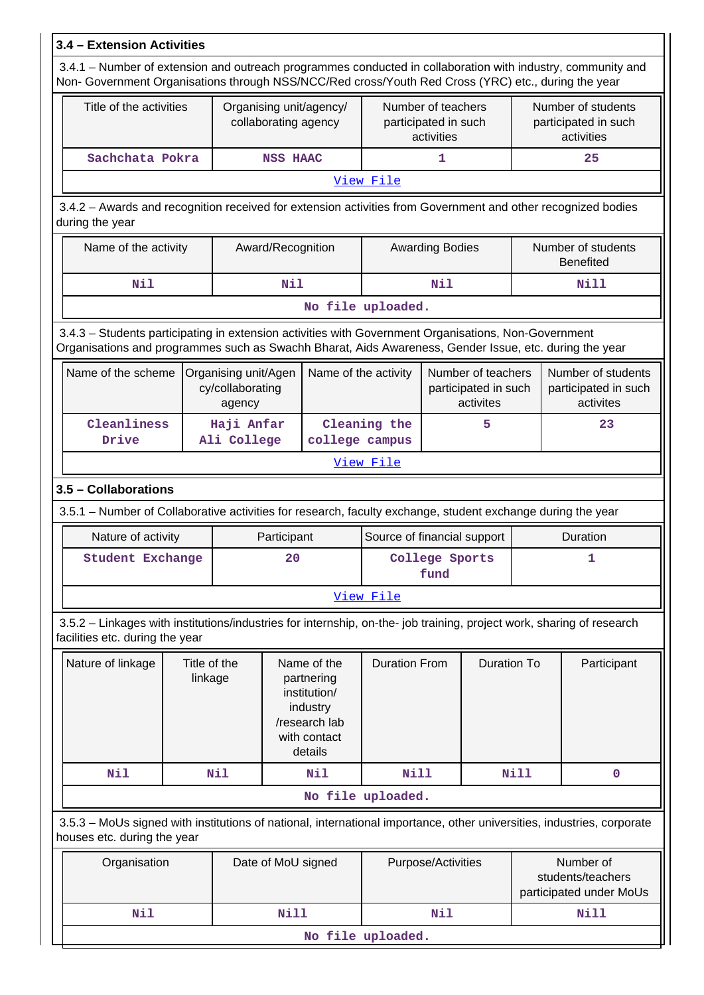| 3.4 - Extension Activities                                                                                                                                                                                             |                           |                                                                                                   |                      |                                                          |                             |     |                                                          |                                                           |             |  |
|------------------------------------------------------------------------------------------------------------------------------------------------------------------------------------------------------------------------|---------------------------|---------------------------------------------------------------------------------------------------|----------------------|----------------------------------------------------------|-----------------------------|-----|----------------------------------------------------------|-----------------------------------------------------------|-------------|--|
| 3.4.1 - Number of extension and outreach programmes conducted in collaboration with industry, community and<br>Non- Government Organisations through NSS/NCC/Red cross/Youth Red Cross (YRC) etc., during the year     |                           |                                                                                                   |                      |                                                          |                             |     |                                                          |                                                           |             |  |
| Title of the activities                                                                                                                                                                                                |                           | Organising unit/agency/<br>collaborating agency                                                   |                      | Number of teachers<br>participated in such<br>activities |                             |     | Number of students<br>participated in such<br>activities |                                                           |             |  |
| Sachchata Pokra                                                                                                                                                                                                        |                           | <b>NSS HAAC</b>                                                                                   |                      |                                                          | 1                           |     |                                                          | 25                                                        |             |  |
|                                                                                                                                                                                                                        |                           |                                                                                                   |                      |                                                          | View File                   |     |                                                          |                                                           |             |  |
| 3.4.2 - Awards and recognition received for extension activities from Government and other recognized bodies<br>during the year                                                                                        |                           |                                                                                                   |                      |                                                          |                             |     |                                                          |                                                           |             |  |
| Name of the activity                                                                                                                                                                                                   |                           | Award/Recognition                                                                                 |                      | <b>Awarding Bodies</b>                                   |                             |     |                                                          | Number of students<br><b>Benefited</b>                    |             |  |
| Nil                                                                                                                                                                                                                    |                           | Nil                                                                                               |                      |                                                          | Nil                         |     |                                                          | <b>Nill</b>                                               |             |  |
|                                                                                                                                                                                                                        |                           |                                                                                                   |                      |                                                          | No file uploaded.           |     |                                                          |                                                           |             |  |
| 3.4.3 - Students participating in extension activities with Government Organisations, Non-Government<br>Organisations and programmes such as Swachh Bharat, Aids Awareness, Gender Issue, etc. during the year         |                           |                                                                                                   |                      |                                                          |                             |     |                                                          |                                                           |             |  |
| Name of the scheme<br>Name of the activity<br>Number of teachers<br>Number of students<br>Organising unit/Agen<br>participated in such<br>cy/collaborating<br>participated in such<br>activites<br>activites<br>agency |                           |                                                                                                   |                      |                                                          |                             |     |                                                          |                                                           |             |  |
| Cleanliness<br>Drive                                                                                                                                                                                                   | Haji Anfar<br>Ali College |                                                                                                   |                      | Cleaning the<br>5<br>college campus                      |                             |     | 23                                                       |                                                           |             |  |
|                                                                                                                                                                                                                        |                           |                                                                                                   |                      |                                                          | View File                   |     |                                                          |                                                           |             |  |
| 3.5 - Collaborations                                                                                                                                                                                                   |                           |                                                                                                   |                      |                                                          |                             |     |                                                          |                                                           |             |  |
| 3.5.1 - Number of Collaborative activities for research, faculty exchange, student exchange during the year                                                                                                            |                           |                                                                                                   |                      |                                                          |                             |     |                                                          |                                                           |             |  |
| Nature of activity                                                                                                                                                                                                     |                           |                                                                                                   | Participant          |                                                          | Source of financial support |     |                                                          |                                                           | Duration    |  |
| <b>Student Exchange</b>                                                                                                                                                                                                |                           |                                                                                                   | 20                   |                                                          | College Sports<br>fund      |     |                                                          | ı                                                         |             |  |
|                                                                                                                                                                                                                        |                           |                                                                                                   |                      |                                                          | View File                   |     |                                                          |                                                           |             |  |
| 3.5.2 - Linkages with institutions/industries for internship, on-the- job training, project work, sharing of research<br>facilities etc. during the year                                                               |                           |                                                                                                   |                      |                                                          |                             |     |                                                          |                                                           |             |  |
| Nature of linkage                                                                                                                                                                                                      |                           | Name of the<br>partnering<br>institution/<br>industry<br>/research lab<br>with contact<br>details | <b>Duration From</b> |                                                          | <b>Duration To</b>          |     | Participant                                              |                                                           |             |  |
| Nil                                                                                                                                                                                                                    | Nil                       |                                                                                                   |                      | Nil                                                      | <b>Nill</b>                 |     |                                                          | <b>Nill</b>                                               | $\mathbf 0$ |  |
|                                                                                                                                                                                                                        | No file uploaded.         |                                                                                                   |                      |                                                          |                             |     |                                                          |                                                           |             |  |
| 3.5.3 - MoUs signed with institutions of national, international importance, other universities, industries, corporate<br>houses etc. during the year                                                                  |                           |                                                                                                   |                      |                                                          |                             |     |                                                          |                                                           |             |  |
| Organisation<br>Date of MoU signed                                                                                                                                                                                     |                           |                                                                                                   |                      |                                                          | Purpose/Activities          |     |                                                          | Number of<br>students/teachers<br>participated under MoUs |             |  |
| Nil                                                                                                                                                                                                                    |                           |                                                                                                   | <b>Nill</b>          |                                                          |                             | Nil |                                                          |                                                           | <b>Nill</b> |  |
|                                                                                                                                                                                                                        |                           |                                                                                                   |                      |                                                          | No file uploaded.           |     |                                                          |                                                           |             |  |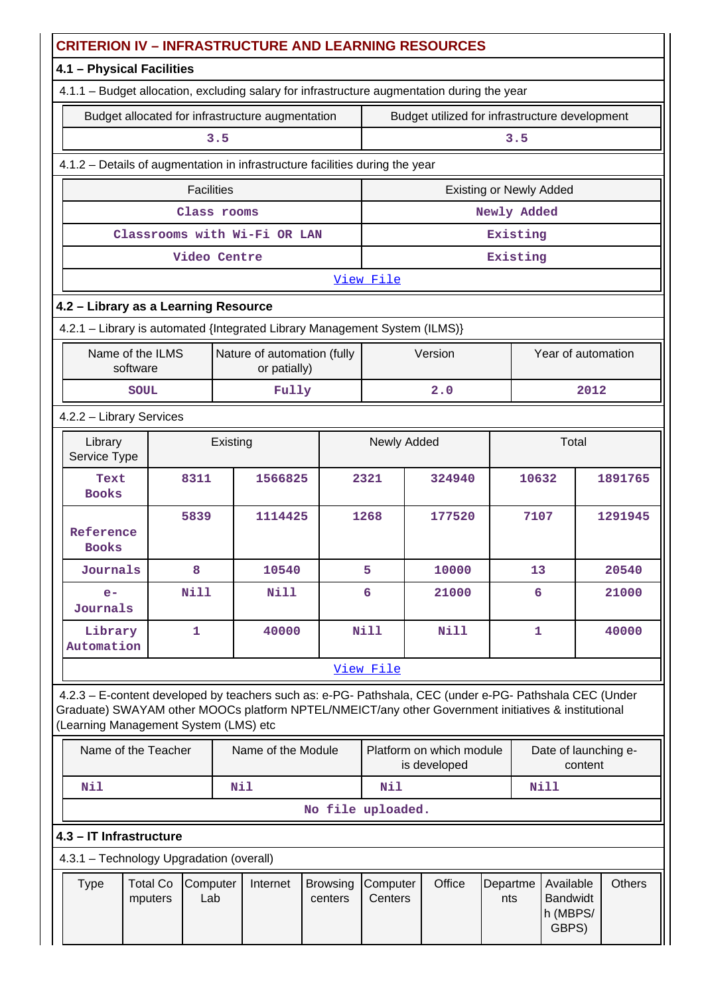|                                                                                                                          | <b>CRITERION IV - INFRASTRUCTURE AND LEARNING RESOURCES</b>                                                        |             |                   |     |                                                  |                                                                              |                                |                                                                                                                                                                                                                |             |                                                   |               |         |
|--------------------------------------------------------------------------------------------------------------------------|--------------------------------------------------------------------------------------------------------------------|-------------|-------------------|-----|--------------------------------------------------|------------------------------------------------------------------------------|--------------------------------|----------------------------------------------------------------------------------------------------------------------------------------------------------------------------------------------------------------|-------------|---------------------------------------------------|---------------|---------|
|                                                                                                                          | 4.1 - Physical Facilities                                                                                          |             |                   |     |                                                  |                                                                              |                                |                                                                                                                                                                                                                |             |                                                   |               |         |
|                                                                                                                          |                                                                                                                    |             |                   |     |                                                  |                                                                              |                                | 4.1.1 - Budget allocation, excluding salary for infrastructure augmentation during the year                                                                                                                    |             |                                                   |               |         |
|                                                                                                                          |                                                                                                                    |             |                   |     | Budget allocated for infrastructure augmentation |                                                                              |                                | Budget utilized for infrastructure development                                                                                                                                                                 |             |                                                   |               |         |
|                                                                                                                          |                                                                                                                    |             |                   | 3.5 |                                                  |                                                                              |                                |                                                                                                                                                                                                                | 3.5         |                                                   |               |         |
|                                                                                                                          |                                                                                                                    |             |                   |     |                                                  | 4.1.2 - Details of augmentation in infrastructure facilities during the year |                                |                                                                                                                                                                                                                |             |                                                   |               |         |
|                                                                                                                          |                                                                                                                    |             | <b>Facilities</b> |     |                                                  |                                                                              | <b>Existing or Newly Added</b> |                                                                                                                                                                                                                |             |                                                   |               |         |
|                                                                                                                          |                                                                                                                    |             | Class rooms       |     |                                                  |                                                                              |                                |                                                                                                                                                                                                                | Newly Added |                                                   |               |         |
|                                                                                                                          |                                                                                                                    |             |                   |     | Classrooms with Wi-Fi OR LAN                     |                                                                              |                                |                                                                                                                                                                                                                | Existing    |                                                   |               |         |
|                                                                                                                          |                                                                                                                    |             | Video Centre      |     |                                                  |                                                                              |                                |                                                                                                                                                                                                                | Existing    |                                                   |               |         |
|                                                                                                                          | View File                                                                                                          |             |                   |     |                                                  |                                                                              |                                |                                                                                                                                                                                                                |             |                                                   |               |         |
|                                                                                                                          | 4.2 - Library as a Learning Resource<br>4.2.1 - Library is automated {Integrated Library Management System (ILMS)} |             |                   |     |                                                  |                                                                              |                                |                                                                                                                                                                                                                |             |                                                   |               |         |
|                                                                                                                          |                                                                                                                    |             |                   |     |                                                  |                                                                              |                                |                                                                                                                                                                                                                |             |                                                   |               |         |
|                                                                                                                          | Name of the ILMS<br>Nature of automation (fully<br>Version<br>Year of automation<br>software<br>or patially)       |             |                   |     |                                                  |                                                                              |                                |                                                                                                                                                                                                                |             |                                                   |               |         |
|                                                                                                                          |                                                                                                                    | <b>SOUL</b> |                   |     | Fully                                            |                                                                              | 2.0<br>2012                    |                                                                                                                                                                                                                |             |                                                   |               |         |
|                                                                                                                          | 4.2.2 - Library Services                                                                                           |             |                   |     |                                                  |                                                                              |                                |                                                                                                                                                                                                                |             |                                                   |               |         |
|                                                                                                                          | Library<br>Existing<br>Service Type                                                                                |             |                   |     |                                                  |                                                                              | Newly Added                    |                                                                                                                                                                                                                |             |                                                   | Total         |         |
|                                                                                                                          | Text<br><b>Books</b>                                                                                               |             | 8311              |     | 1566825                                          |                                                                              | 2321<br>324940                 |                                                                                                                                                                                                                |             | 10632                                             |               | 1891765 |
|                                                                                                                          | Reference<br><b>Books</b>                                                                                          |             | 5839              |     | 1114425                                          |                                                                              | 1268                           | 177520                                                                                                                                                                                                         |             | 7107                                              |               | 1291945 |
|                                                                                                                          | Journals                                                                                                           |             | 8                 |     | 10540                                            |                                                                              | 5                              | 10000                                                                                                                                                                                                          |             | 13                                                |               | 20540   |
|                                                                                                                          | $e-$<br>Journals                                                                                                   |             | <b>Nill</b>       |     | <b>Nill</b>                                      |                                                                              | 6                              | 21000                                                                                                                                                                                                          |             | 6                                                 |               | 21000   |
|                                                                                                                          | Library<br>Automation                                                                                              |             | $\mathbf{1}$      |     | 40000                                            |                                                                              | <b>Nill</b>                    | Nill                                                                                                                                                                                                           |             | $\mathbf{1}$                                      |               | 40000   |
|                                                                                                                          |                                                                                                                    |             |                   |     |                                                  |                                                                              | View File                      |                                                                                                                                                                                                                |             |                                                   |               |         |
|                                                                                                                          | (Learning Management System (LMS) etc                                                                              |             |                   |     |                                                  |                                                                              |                                | 4.2.3 - E-content developed by teachers such as: e-PG- Pathshala, CEC (under e-PG- Pathshala CEC (Under<br>Graduate) SWAYAM other MOOCs platform NPTEL/NMEICT/any other Government initiatives & institutional |             |                                                   |               |         |
| Name of the Teacher<br>Name of the Module<br>Platform on which module<br>Date of launching e-<br>is developed<br>content |                                                                                                                    |             |                   |     |                                                  |                                                                              |                                |                                                                                                                                                                                                                |             |                                                   |               |         |
| Nil<br>Nil                                                                                                               |                                                                                                                    |             |                   |     |                                                  |                                                                              | Nil                            |                                                                                                                                                                                                                |             |                                                   | <b>Nill</b>   |         |
|                                                                                                                          |                                                                                                                    |             |                   |     |                                                  | No file uploaded.                                                            |                                |                                                                                                                                                                                                                |             |                                                   |               |         |
|                                                                                                                          | 4.3 - IT Infrastructure                                                                                            |             |                   |     |                                                  |                                                                              |                                |                                                                                                                                                                                                                |             |                                                   |               |         |
|                                                                                                                          | 4.3.1 - Technology Upgradation (overall)                                                                           |             |                   |     |                                                  |                                                                              |                                |                                                                                                                                                                                                                |             |                                                   |               |         |
|                                                                                                                          | <b>Type</b><br><b>Total Co</b><br>Computer<br>Internet<br>Lab<br>mputers                                           |             |                   |     | <b>Browsing</b><br>centers                       | Computer<br>Centers                                                          | Office                         | Departme<br>nts                                                                                                                                                                                                |             | Available<br><b>Bandwidt</b><br>h (MBPS/<br>GBPS) | <b>Others</b> |         |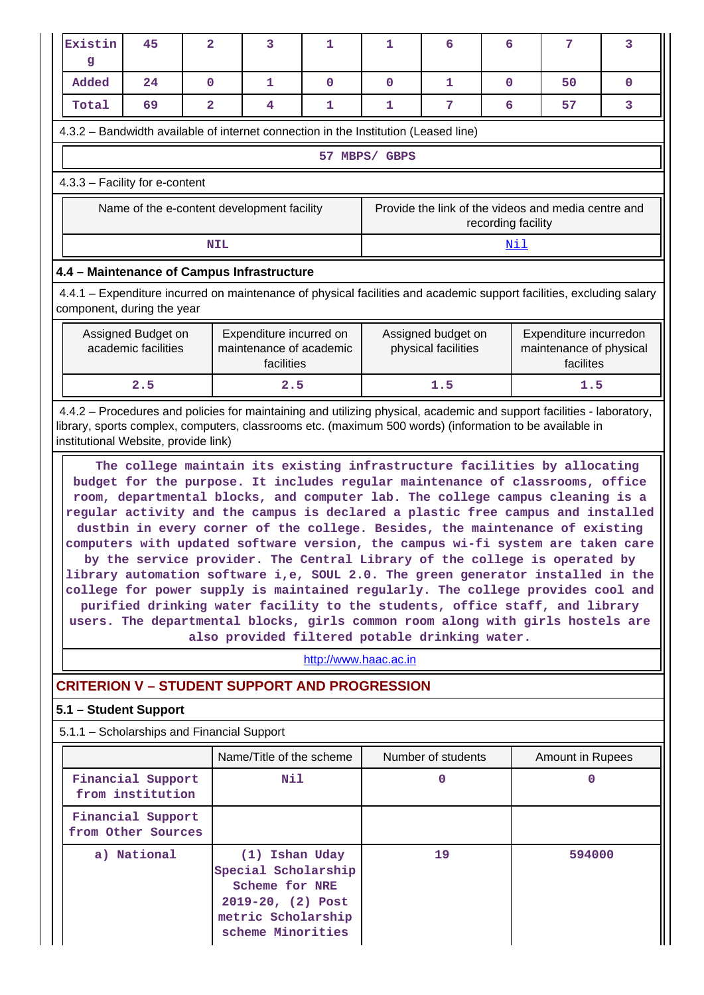|                                                                                                                                                                                                                                                                          | Existin<br>g                                                                                                                                       | 45                                         | $\overline{\mathbf{2}}$ |            | 3                                                                                                                       | 1                     | 1                                              | 6                                         | 6                  | 7                                                                                                                                                                                                                                                                                                                                                                                                                                                                                                                                                                                                                                                                                                                                                                                                                                                                                                                      | 3           |
|--------------------------------------------------------------------------------------------------------------------------------------------------------------------------------------------------------------------------------------------------------------------------|----------------------------------------------------------------------------------------------------------------------------------------------------|--------------------------------------------|-------------------------|------------|-------------------------------------------------------------------------------------------------------------------------|-----------------------|------------------------------------------------|-------------------------------------------|--------------------|------------------------------------------------------------------------------------------------------------------------------------------------------------------------------------------------------------------------------------------------------------------------------------------------------------------------------------------------------------------------------------------------------------------------------------------------------------------------------------------------------------------------------------------------------------------------------------------------------------------------------------------------------------------------------------------------------------------------------------------------------------------------------------------------------------------------------------------------------------------------------------------------------------------------|-------------|
|                                                                                                                                                                                                                                                                          | Added                                                                                                                                              | 24                                         | $\mathbf 0$             |            | 1                                                                                                                       | $\mathbf 0$           | $\mathbf 0$                                    | 1                                         | $\mathbf 0$        | 50                                                                                                                                                                                                                                                                                                                                                                                                                                                                                                                                                                                                                                                                                                                                                                                                                                                                                                                     | $\mathbf 0$ |
|                                                                                                                                                                                                                                                                          | Total                                                                                                                                              | 69                                         | $\mathbf{2}$            |            | 4                                                                                                                       | 1                     | 1                                              | 7                                         | 6                  | 57                                                                                                                                                                                                                                                                                                                                                                                                                                                                                                                                                                                                                                                                                                                                                                                                                                                                                                                     | 3           |
|                                                                                                                                                                                                                                                                          | 4.3.2 – Bandwidth available of internet connection in the Institution (Leased line)                                                                |                                            |                         |            |                                                                                                                         |                       |                                                |                                           |                    |                                                                                                                                                                                                                                                                                                                                                                                                                                                                                                                                                                                                                                                                                                                                                                                                                                                                                                                        |             |
|                                                                                                                                                                                                                                                                          |                                                                                                                                                    |                                            |                         |            |                                                                                                                         |                       | 57 MBPS/ GBPS                                  |                                           |                    |                                                                                                                                                                                                                                                                                                                                                                                                                                                                                                                                                                                                                                                                                                                                                                                                                                                                                                                        |             |
|                                                                                                                                                                                                                                                                          | 4.3.3 - Facility for e-content                                                                                                                     |                                            |                         |            |                                                                                                                         |                       |                                                |                                           |                    |                                                                                                                                                                                                                                                                                                                                                                                                                                                                                                                                                                                                                                                                                                                                                                                                                                                                                                                        |             |
|                                                                                                                                                                                                                                                                          |                                                                                                                                                    | Name of the e-content development facility |                         |            |                                                                                                                         |                       |                                                |                                           | recording facility | Provide the link of the videos and media centre and                                                                                                                                                                                                                                                                                                                                                                                                                                                                                                                                                                                                                                                                                                                                                                                                                                                                    |             |
|                                                                                                                                                                                                                                                                          |                                                                                                                                                    |                                            |                         | <b>NIL</b> |                                                                                                                         |                       |                                                |                                           | <u>Nil</u>         |                                                                                                                                                                                                                                                                                                                                                                                                                                                                                                                                                                                                                                                                                                                                                                                                                                                                                                                        |             |
|                                                                                                                                                                                                                                                                          | 4.4 - Maintenance of Campus Infrastructure                                                                                                         |                                            |                         |            |                                                                                                                         |                       |                                                |                                           |                    |                                                                                                                                                                                                                                                                                                                                                                                                                                                                                                                                                                                                                                                                                                                                                                                                                                                                                                                        |             |
|                                                                                                                                                                                                                                                                          | 4.4.1 - Expenditure incurred on maintenance of physical facilities and academic support facilities, excluding salary<br>component, during the year |                                            |                         |            |                                                                                                                         |                       |                                                |                                           |                    |                                                                                                                                                                                                                                                                                                                                                                                                                                                                                                                                                                                                                                                                                                                                                                                                                                                                                                                        |             |
|                                                                                                                                                                                                                                                                          |                                                                                                                                                    | Assigned Budget on<br>academic facilities  |                         |            | Expenditure incurred on<br>maintenance of academic<br>facilities                                                        |                       |                                                | Assigned budget on<br>physical facilities |                    | Expenditure incurredon<br>maintenance of physical<br>facilites                                                                                                                                                                                                                                                                                                                                                                                                                                                                                                                                                                                                                                                                                                                                                                                                                                                         |             |
|                                                                                                                                                                                                                                                                          | 2.5                                                                                                                                                |                                            |                         |            | 2.5                                                                                                                     |                       |                                                | 1.5                                       |                    | 1.5                                                                                                                                                                                                                                                                                                                                                                                                                                                                                                                                                                                                                                                                                                                                                                                                                                                                                                                    |             |
| 4.4.2 – Procedures and policies for maintaining and utilizing physical, academic and support facilities - laboratory,<br>library, sports complex, computers, classrooms etc. (maximum 500 words) (information to be available in<br>institutional Website, provide link) |                                                                                                                                                    |                                            |                         |            |                                                                                                                         |                       |                                                |                                           |                    |                                                                                                                                                                                                                                                                                                                                                                                                                                                                                                                                                                                                                                                                                                                                                                                                                                                                                                                        |             |
|                                                                                                                                                                                                                                                                          |                                                                                                                                                    |                                            |                         |            |                                                                                                                         | http://www.haac.ac.in | also provided filtered potable drinking water. |                                           |                    | The college maintain its existing infrastructure facilities by allocating<br>budget for the purpose. It includes regular maintenance of classrooms, office<br>room, departmental blocks, and computer lab. The college campus cleaning is a<br>regular activity and the campus is declared a plastic free campus and installed<br>dustbin in every corner of the college. Besides, the maintenance of existing<br>computers with updated software version, the campus wi-fi system are taken care<br>by the service provider. The Central Library of the college is operated by<br>library automation software i,e, SOUL 2.0. The green generator installed in the<br>college for power supply is maintained regularly. The college provides cool and<br>purified drinking water facility to the students, office staff, and library<br>users. The departmental blocks, girls common room along with girls hostels are |             |
|                                                                                                                                                                                                                                                                          |                                                                                                                                                    |                                            |                         |            |                                                                                                                         |                       |                                                |                                           |                    |                                                                                                                                                                                                                                                                                                                                                                                                                                                                                                                                                                                                                                                                                                                                                                                                                                                                                                                        |             |
|                                                                                                                                                                                                                                                                          | <b>CRITERION V - STUDENT SUPPORT AND PROGRESSION</b>                                                                                               |                                            |                         |            |                                                                                                                         |                       |                                                |                                           |                    |                                                                                                                                                                                                                                                                                                                                                                                                                                                                                                                                                                                                                                                                                                                                                                                                                                                                                                                        |             |
|                                                                                                                                                                                                                                                                          | 5.1 - Student Support<br>5.1.1 - Scholarships and Financial Support                                                                                |                                            |                         |            |                                                                                                                         |                       |                                                |                                           |                    |                                                                                                                                                                                                                                                                                                                                                                                                                                                                                                                                                                                                                                                                                                                                                                                                                                                                                                                        |             |
|                                                                                                                                                                                                                                                                          |                                                                                                                                                    |                                            |                         |            | Name/Title of the scheme                                                                                                |                       |                                                | Number of students                        |                    | <b>Amount in Rupees</b>                                                                                                                                                                                                                                                                                                                                                                                                                                                                                                                                                                                                                                                                                                                                                                                                                                                                                                |             |
|                                                                                                                                                                                                                                                                          |                                                                                                                                                    | Financial Support<br>from institution      |                         |            | Nil                                                                                                                     |                       |                                                | $\mathbf 0$                               |                    | 0                                                                                                                                                                                                                                                                                                                                                                                                                                                                                                                                                                                                                                                                                                                                                                                                                                                                                                                      |             |
|                                                                                                                                                                                                                                                                          |                                                                                                                                                    | Financial Support<br>from Other Sources    |                         |            |                                                                                                                         |                       |                                                |                                           |                    |                                                                                                                                                                                                                                                                                                                                                                                                                                                                                                                                                                                                                                                                                                                                                                                                                                                                                                                        |             |
|                                                                                                                                                                                                                                                                          | a) National                                                                                                                                        |                                            |                         |            | (1) Ishan Uday<br>Special Scholarship<br>Scheme for NRE<br>2019-20, (2) Post<br>metric Scholarship<br>scheme Minorities |                       |                                                | 19                                        |                    | 594000                                                                                                                                                                                                                                                                                                                                                                                                                                                                                                                                                                                                                                                                                                                                                                                                                                                                                                                 |             |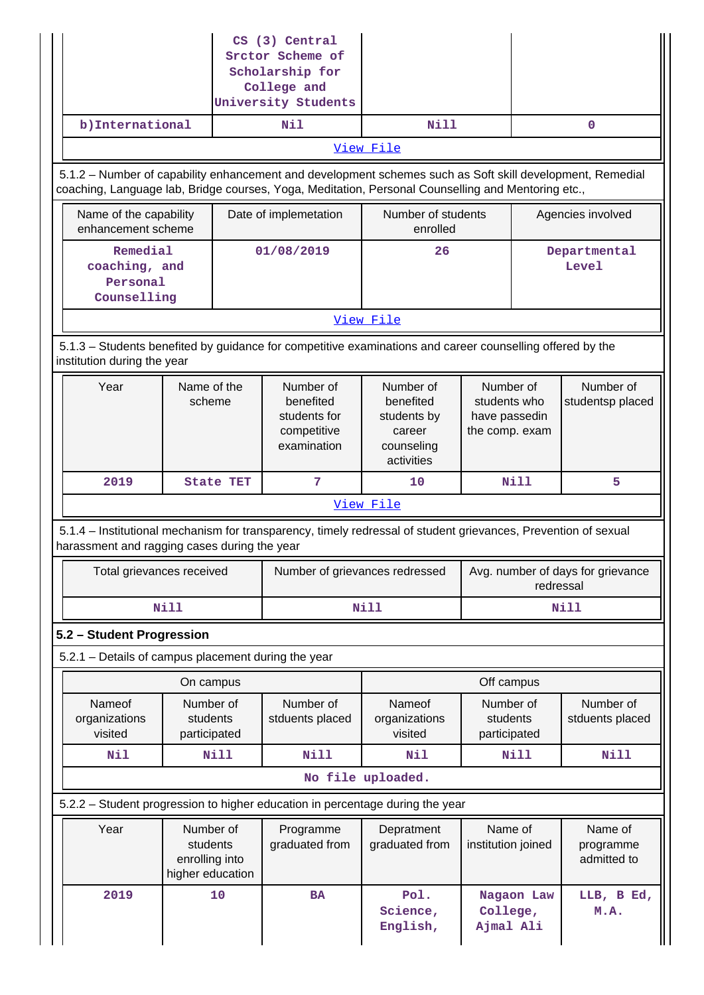| b) International                                       |                                       |                                                                      | CS (3) Central<br>Srctor Scheme of<br>Scholarship for<br>College and<br>University Students<br>Nil             | Nill                                                                                                      |                                                              |  | 0                                   |  |
|--------------------------------------------------------|---------------------------------------|----------------------------------------------------------------------|----------------------------------------------------------------------------------------------------------------|-----------------------------------------------------------------------------------------------------------|--------------------------------------------------------------|--|-------------------------------------|--|
|                                                        |                                       |                                                                      |                                                                                                                | View File                                                                                                 |                                                              |  |                                     |  |
|                                                        |                                       |                                                                      |                                                                                                                | 5.1.2 - Number of capability enhancement and development schemes such as Soft skill development, Remedial |                                                              |  |                                     |  |
|                                                        |                                       |                                                                      |                                                                                                                | coaching, Language lab, Bridge courses, Yoga, Meditation, Personal Counselling and Mentoring etc.,        |                                                              |  |                                     |  |
| Name of the capability<br>enhancement scheme           |                                       |                                                                      | Date of implemetation                                                                                          | Number of students<br>enrolled                                                                            |                                                              |  | Agencies involved                   |  |
| Remedial<br>coaching, and<br>Personal<br>Counselling   |                                       |                                                                      | 01/08/2019                                                                                                     | 26                                                                                                        |                                                              |  |                                     |  |
|                                                        |                                       |                                                                      |                                                                                                                | View File                                                                                                 |                                                              |  |                                     |  |
| institution during the year                            |                                       |                                                                      |                                                                                                                | 5.1.3 – Students benefited by guidance for competitive examinations and career counselling offered by the |                                                              |  |                                     |  |
| Year<br>Name of the<br>scheme                          |                                       | Number of<br>benefited<br>students for<br>competitive<br>examination |                                                                                                                | Number of<br>benefited<br>students by<br>career<br>counseling<br>activities                               | Number of<br>students who<br>have passedin<br>the comp. exam |  | Number of<br>studentsp placed       |  |
| 2019                                                   |                                       | <b>State TET</b>                                                     | 7                                                                                                              | 10                                                                                                        | Nill                                                         |  | 5                                   |  |
|                                                        |                                       |                                                                      |                                                                                                                | View File                                                                                                 |                                                              |  |                                     |  |
| harassment and ragging cases during the year           |                                       |                                                                      | 5.1.4 - Institutional mechanism for transparency, timely redressal of student grievances, Prevention of sexual |                                                                                                           |                                                              |  |                                     |  |
| Total grievances received                              |                                       |                                                                      | Number of grievances redressed                                                                                 | Avg. number of days for grievance<br>redressal                                                            |                                                              |  |                                     |  |
|                                                        | <b>Nill</b>                           |                                                                      |                                                                                                                | <b>Nill</b>                                                                                               | Nill                                                         |  |                                     |  |
| 5.2 - Student Progression                              |                                       |                                                                      |                                                                                                                |                                                                                                           |                                                              |  |                                     |  |
| 5.2.1 - Details of campus placement during the year    |                                       |                                                                      |                                                                                                                |                                                                                                           |                                                              |  |                                     |  |
|                                                        | On campus                             |                                                                      |                                                                                                                |                                                                                                           | Off campus                                                   |  |                                     |  |
| Nameof<br>organizations<br>visited                     | Number of<br>students<br>participated |                                                                      | Number of<br>stduents placed                                                                                   | Nameof<br>organizations<br>visited                                                                        | Number of<br>students<br>participated                        |  | Number of<br>stduents placed        |  |
| Nil                                                    |                                       | Nill                                                                 | <b>Nill</b>                                                                                                    | Nil                                                                                                       | Nill                                                         |  | Nill                                |  |
|                                                        |                                       |                                                                      |                                                                                                                | No file uploaded.                                                                                         |                                                              |  |                                     |  |
|                                                        |                                       |                                                                      |                                                                                                                | 5.2.2 - Student progression to higher education in percentage during the year                             |                                                              |  |                                     |  |
| Year<br>students<br>enrolling into<br>higher education |                                       | Number of<br>Programme<br>graduated from                             |                                                                                                                | Depratment<br>graduated from                                                                              | Name of<br>institution joined                                |  | Name of<br>programme<br>admitted to |  |
| 2019<br>10                                             |                                       |                                                                      | <b>BA</b>                                                                                                      | Pol.<br>Science,<br>English,                                                                              | Nagaon Law<br>College,<br>Ajmal Ali                          |  | LLB, B Ed,<br>M.A.                  |  |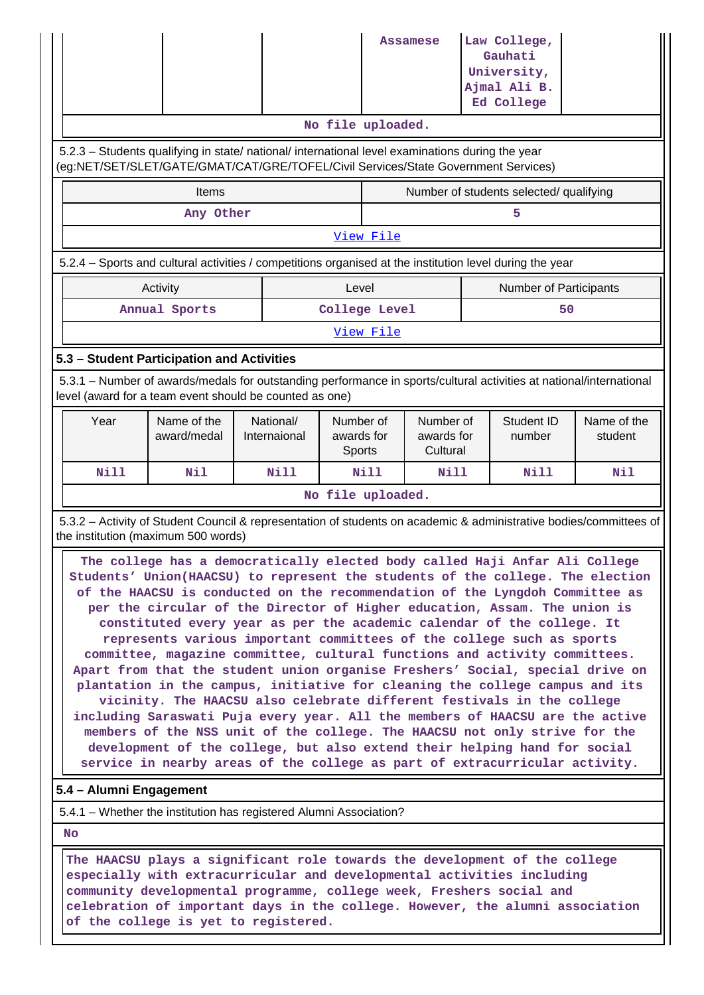|                                                                                                                                                                                                                                                                                                                                                                                                                                                                                                                                                                                                                                                                                                                                                                                                                                                                                                                                                                                                                                                                                                                                   |                                                                                                                                                                                |                           |                                   |           | <b>Assamese</b> |                                                             | Law College,<br>Gauhati<br>University,<br>Ajmal Ali B.<br>Ed College |                                                                                                                    |
|-----------------------------------------------------------------------------------------------------------------------------------------------------------------------------------------------------------------------------------------------------------------------------------------------------------------------------------------------------------------------------------------------------------------------------------------------------------------------------------------------------------------------------------------------------------------------------------------------------------------------------------------------------------------------------------------------------------------------------------------------------------------------------------------------------------------------------------------------------------------------------------------------------------------------------------------------------------------------------------------------------------------------------------------------------------------------------------------------------------------------------------|--------------------------------------------------------------------------------------------------------------------------------------------------------------------------------|---------------------------|-----------------------------------|-----------|-----------------|-------------------------------------------------------------|----------------------------------------------------------------------|--------------------------------------------------------------------------------------------------------------------|
|                                                                                                                                                                                                                                                                                                                                                                                                                                                                                                                                                                                                                                                                                                                                                                                                                                                                                                                                                                                                                                                                                                                                   |                                                                                                                                                                                |                           | No file uploaded.                 |           |                 |                                                             |                                                                      |                                                                                                                    |
| 5.2.3 - Students qualifying in state/ national/ international level examinations during the year<br>(eg:NET/SET/SLET/GATE/GMAT/CAT/GRE/TOFEL/Civil Services/State Government Services)                                                                                                                                                                                                                                                                                                                                                                                                                                                                                                                                                                                                                                                                                                                                                                                                                                                                                                                                            |                                                                                                                                                                                |                           |                                   |           |                 |                                                             |                                                                      |                                                                                                                    |
|                                                                                                                                                                                                                                                                                                                                                                                                                                                                                                                                                                                                                                                                                                                                                                                                                                                                                                                                                                                                                                                                                                                                   | Items                                                                                                                                                                          |                           |                                   |           |                 |                                                             | Number of students selected/ qualifying                              |                                                                                                                    |
| 5<br>Any Other                                                                                                                                                                                                                                                                                                                                                                                                                                                                                                                                                                                                                                                                                                                                                                                                                                                                                                                                                                                                                                                                                                                    |                                                                                                                                                                                |                           |                                   |           |                 |                                                             |                                                                      |                                                                                                                    |
|                                                                                                                                                                                                                                                                                                                                                                                                                                                                                                                                                                                                                                                                                                                                                                                                                                                                                                                                                                                                                                                                                                                                   |                                                                                                                                                                                |                           |                                   | View File |                 |                                                             |                                                                      |                                                                                                                    |
|                                                                                                                                                                                                                                                                                                                                                                                                                                                                                                                                                                                                                                                                                                                                                                                                                                                                                                                                                                                                                                                                                                                                   | 5.2.4 – Sports and cultural activities / competitions organised at the institution level during the year                                                                       |                           |                                   |           |                 |                                                             |                                                                      |                                                                                                                    |
|                                                                                                                                                                                                                                                                                                                                                                                                                                                                                                                                                                                                                                                                                                                                                                                                                                                                                                                                                                                                                                                                                                                                   | Activity                                                                                                                                                                       |                           | Level                             |           |                 |                                                             | <b>Number of Participants</b>                                        |                                                                                                                    |
| Annual Sports                                                                                                                                                                                                                                                                                                                                                                                                                                                                                                                                                                                                                                                                                                                                                                                                                                                                                                                                                                                                                                                                                                                     | College Level                                                                                                                                                                  |                           |                                   |           | 50              |                                                             |                                                                      |                                                                                                                    |
|                                                                                                                                                                                                                                                                                                                                                                                                                                                                                                                                                                                                                                                                                                                                                                                                                                                                                                                                                                                                                                                                                                                                   |                                                                                                                                                                                |                           |                                   | View File |                 |                                                             |                                                                      |                                                                                                                    |
|                                                                                                                                                                                                                                                                                                                                                                                                                                                                                                                                                                                                                                                                                                                                                                                                                                                                                                                                                                                                                                                                                                                                   | 5.3 - Student Participation and Activities                                                                                                                                     |                           |                                   |           |                 |                                                             |                                                                      |                                                                                                                    |
|                                                                                                                                                                                                                                                                                                                                                                                                                                                                                                                                                                                                                                                                                                                                                                                                                                                                                                                                                                                                                                                                                                                                   | 5.3.1 – Number of awards/medals for outstanding performance in sports/cultural activities at national/international<br>level (award for a team event should be counted as one) |                           |                                   |           |                 |                                                             |                                                                      |                                                                                                                    |
| Year                                                                                                                                                                                                                                                                                                                                                                                                                                                                                                                                                                                                                                                                                                                                                                                                                                                                                                                                                                                                                                                                                                                              | Name of the<br>award/medal                                                                                                                                                     | National/<br>Internaional | Number of<br>awards for<br>Sports |           |                 | Number of<br>Student ID<br>awards for<br>number<br>Cultural |                                                                      | Name of the<br>student                                                                                             |
| Nill                                                                                                                                                                                                                                                                                                                                                                                                                                                                                                                                                                                                                                                                                                                                                                                                                                                                                                                                                                                                                                                                                                                              | Nil                                                                                                                                                                            | <b>Nill</b>               |                                   | Nill      | Nill            |                                                             | <b>Nill</b>                                                          | Nil                                                                                                                |
|                                                                                                                                                                                                                                                                                                                                                                                                                                                                                                                                                                                                                                                                                                                                                                                                                                                                                                                                                                                                                                                                                                                                   |                                                                                                                                                                                |                           | No file uploaded.                 |           |                 |                                                             |                                                                      |                                                                                                                    |
|                                                                                                                                                                                                                                                                                                                                                                                                                                                                                                                                                                                                                                                                                                                                                                                                                                                                                                                                                                                                                                                                                                                                   | the institution (maximum 500 words)                                                                                                                                            |                           |                                   |           |                 |                                                             |                                                                      | 5.3.2 - Activity of Student Council & representation of students on academic & administrative bodies/committees of |
| The college has a democratically elected body called Haji Anfar Ali College<br>Students' Union(HAACSU) to represent the students of the college. The election<br>of the HAACSU is conducted on the recommendation of the Lyngdoh Committee as<br>per the circular of the Director of Higher education, Assam. The union is<br>constituted every year as per the academic calendar of the college. It<br>represents various important committees of the college such as sports<br>committee, magazine committee, cultural functions and activity committees.<br>Apart from that the student union organise Freshers' Social, special drive on<br>plantation in the campus, initiative for cleaning the college campus and its<br>vicinity. The HAACSU also celebrate different festivals in the college<br>including Saraswati Puja every year. All the members of HAACSU are the active<br>members of the NSS unit of the college. The HAACSU not only strive for the<br>development of the college, but also extend their helping hand for social<br>service in nearby areas of the college as part of extracurricular activity. |                                                                                                                                                                                |                           |                                   |           |                 |                                                             |                                                                      |                                                                                                                    |
| 5.4 - Alumni Engagement                                                                                                                                                                                                                                                                                                                                                                                                                                                                                                                                                                                                                                                                                                                                                                                                                                                                                                                                                                                                                                                                                                           |                                                                                                                                                                                |                           |                                   |           |                 |                                                             |                                                                      |                                                                                                                    |
| 5.4.1 – Whether the institution has registered Alumni Association?                                                                                                                                                                                                                                                                                                                                                                                                                                                                                                                                                                                                                                                                                                                                                                                                                                                                                                                                                                                                                                                                |                                                                                                                                                                                |                           |                                   |           |                 |                                                             |                                                                      |                                                                                                                    |
| No                                                                                                                                                                                                                                                                                                                                                                                                                                                                                                                                                                                                                                                                                                                                                                                                                                                                                                                                                                                                                                                                                                                                |                                                                                                                                                                                |                           |                                   |           |                 |                                                             |                                                                      |                                                                                                                    |
| The HAACSU plays a significant role towards the development of the college<br>especially with extracurricular and developmental activities including<br>community developmental programme, college week, Freshers social and<br>celebration of important days in the college. However, the alumni association                                                                                                                                                                                                                                                                                                                                                                                                                                                                                                                                                                                                                                                                                                                                                                                                                     |                                                                                                                                                                                |                           |                                   |           |                 |                                                             |                                                                      |                                                                                                                    |

**of the college is yet to registered.**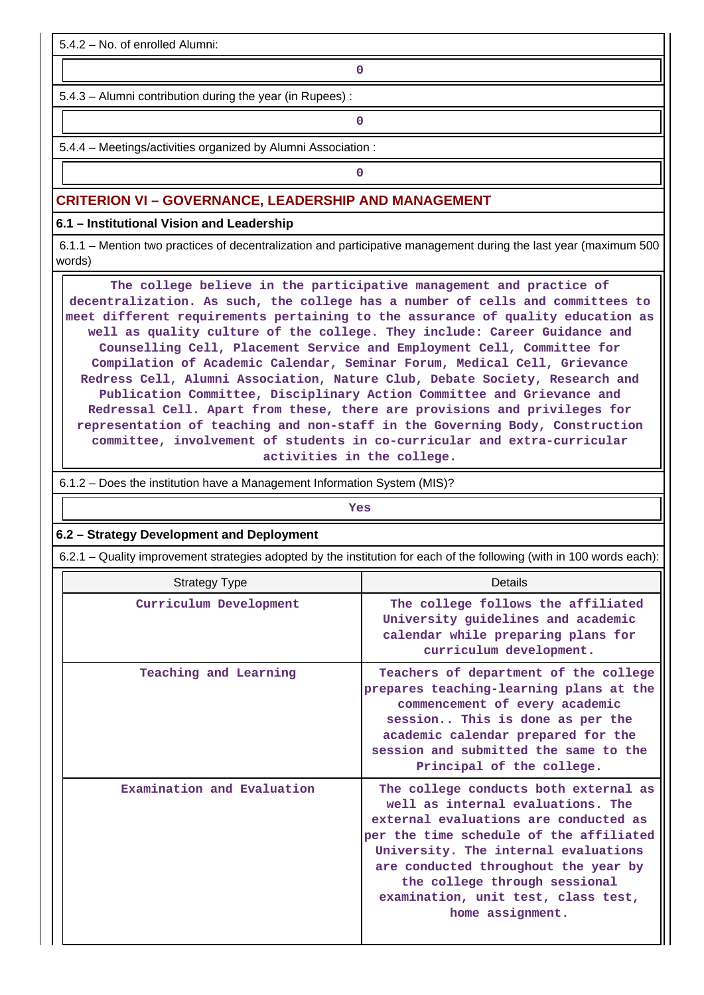5.4.2 – No. of enrolled Alumni:

**0**

5.4.3 – Alumni contribution during the year (in Rupees) :

**0**

5.4.4 – Meetings/activities organized by Alumni Association :

**0**

### **CRITERION VI – GOVERNANCE, LEADERSHIP AND MANAGEMENT**

**6.1 – Institutional Vision and Leadership**

 6.1.1 – Mention two practices of decentralization and participative management during the last year (maximum 500 words)

 **The college believe in the participative management and practice of decentralization. As such, the college has a number of cells and committees to meet different requirements pertaining to the assurance of quality education as well as quality culture of the college. They include: Career Guidance and Counselling Cell, Placement Service and Employment Cell, Committee for Compilation of Academic Calendar, Seminar Forum, Medical Cell, Grievance Redress Cell, Alumni Association, Nature Club, Debate Society, Research and Publication Committee, Disciplinary Action Committee and Grievance and Redressal Cell. Apart from these, there are provisions and privileges for representation of teaching and non-staff in the Governing Body, Construction committee, involvement of students in co-curricular and extra-curricular activities in the college.**

6.1.2 – Does the institution have a Management Information System (MIS)?

|                                           | Yes                                                                                                                                                                                                                                                                                                                                        |  |  |  |  |  |  |  |  |
|-------------------------------------------|--------------------------------------------------------------------------------------------------------------------------------------------------------------------------------------------------------------------------------------------------------------------------------------------------------------------------------------------|--|--|--|--|--|--|--|--|
| 6.2 - Strategy Development and Deployment |                                                                                                                                                                                                                                                                                                                                            |  |  |  |  |  |  |  |  |
|                                           | 6.2.1 – Quality improvement strategies adopted by the institution for each of the following (with in 100 words each):                                                                                                                                                                                                                      |  |  |  |  |  |  |  |  |
| <b>Strategy Type</b>                      | Details                                                                                                                                                                                                                                                                                                                                    |  |  |  |  |  |  |  |  |
| Curriculum Development                    | The college follows the affiliated<br>University guidelines and academic<br>calendar while preparing plans for<br>curriculum development.                                                                                                                                                                                                  |  |  |  |  |  |  |  |  |
| Teaching and Learning                     | Teachers of department of the college<br>prepares teaching-learning plans at the<br>commencement of every academic<br>session This is done as per the<br>academic calendar prepared for the<br>session and submitted the same to the<br>Principal of the college.                                                                          |  |  |  |  |  |  |  |  |
| Examination and Evaluation                | The college conducts both external as<br>well as internal evaluations. The<br>external evaluations are conducted as<br>per the time schedule of the affiliated<br>University. The internal evaluations<br>are conducted throughout the year by<br>the college through sessional<br>examination, unit test, class test,<br>home assignment. |  |  |  |  |  |  |  |  |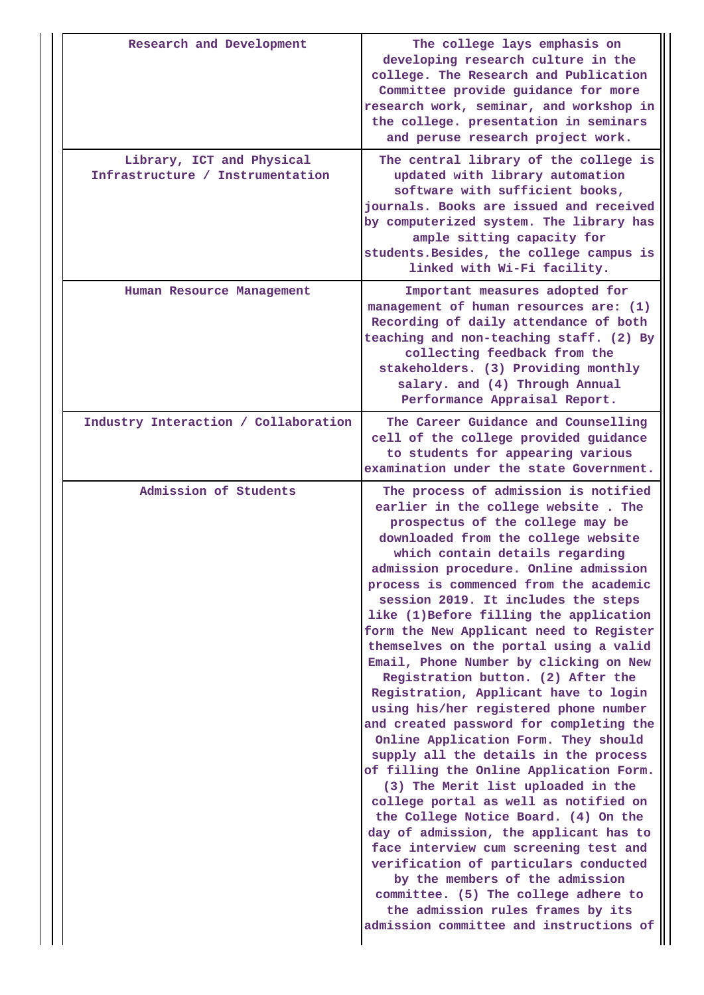| Research and Development<br>Library, ICT and Physical | The college lays emphasis on<br>developing research culture in the<br>college. The Research and Publication<br>Committee provide guidance for more<br>research work, seminar, and workshop in<br>the college. presentation in seminars<br>and peruse research project work.<br>The central library of the college is                                                                                                                                                                                                                                                                                                                                                                                                                                                                                                                                                                                                                                                                                                                                                                                                                                                                                       |
|-------------------------------------------------------|------------------------------------------------------------------------------------------------------------------------------------------------------------------------------------------------------------------------------------------------------------------------------------------------------------------------------------------------------------------------------------------------------------------------------------------------------------------------------------------------------------------------------------------------------------------------------------------------------------------------------------------------------------------------------------------------------------------------------------------------------------------------------------------------------------------------------------------------------------------------------------------------------------------------------------------------------------------------------------------------------------------------------------------------------------------------------------------------------------------------------------------------------------------------------------------------------------|
| Infrastructure / Instrumentation                      | updated with library automation<br>software with sufficient books,<br>journals. Books are issued and received<br>by computerized system. The library has<br>ample sitting capacity for<br>students. Besides, the college campus is<br>linked with Wi-Fi facility.                                                                                                                                                                                                                                                                                                                                                                                                                                                                                                                                                                                                                                                                                                                                                                                                                                                                                                                                          |
| Human Resource Management                             | Important measures adopted for<br>management of human resources are: (1)<br>Recording of daily attendance of both<br>teaching and non-teaching staff. (2) By<br>collecting feedback from the<br>stakeholders. (3) Providing monthly<br>salary. and (4) Through Annual<br>Performance Appraisal Report.                                                                                                                                                                                                                                                                                                                                                                                                                                                                                                                                                                                                                                                                                                                                                                                                                                                                                                     |
| Industry Interaction / Collaboration                  | The Career Guidance and Counselling<br>cell of the college provided guidance<br>to students for appearing various<br>examination under the state Government.                                                                                                                                                                                                                                                                                                                                                                                                                                                                                                                                                                                                                                                                                                                                                                                                                                                                                                                                                                                                                                               |
| Admission of Students                                 | The process of admission is notified<br>earlier in the college website. The<br>prospectus of the college may be<br>downloaded from the college website<br>which contain details regarding<br>admission procedure. Online admission<br>process is commenced from the academic<br>session 2019. It includes the steps<br>like (1) Before filling the application<br>form the New Applicant need to Register<br>themselves on the portal using a valid<br>Email, Phone Number by clicking on New<br>Registration button. (2) After the<br>Registration, Applicant have to login<br>using his/her registered phone number<br>and created password for completing the<br>Online Application Form. They should<br>supply all the details in the process<br>of filling the Online Application Form.<br>(3) The Merit list uploaded in the<br>college portal as well as notified on<br>the College Notice Board. (4) On the<br>day of admission, the applicant has to<br>face interview cum screening test and<br>verification of particulars conducted<br>by the members of the admission<br>committee. (5) The college adhere to<br>the admission rules frames by its<br>admission committee and instructions of |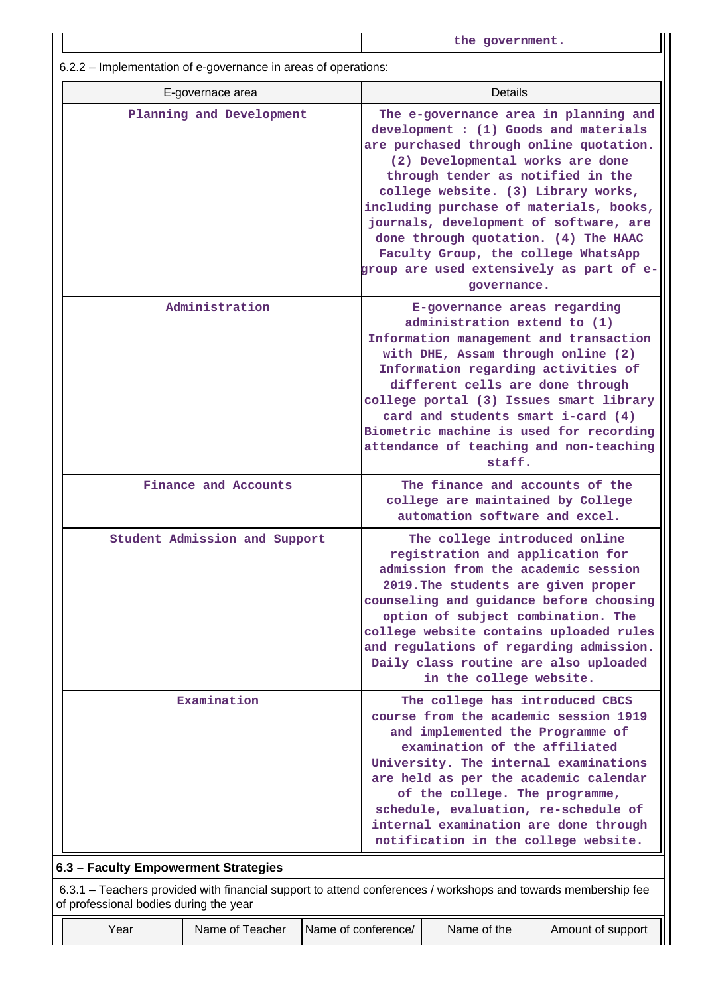|                                                                | the government.                                                                                                                                                                                                                                                                                                                                                                                                                                                          |  |  |  |  |  |
|----------------------------------------------------------------|--------------------------------------------------------------------------------------------------------------------------------------------------------------------------------------------------------------------------------------------------------------------------------------------------------------------------------------------------------------------------------------------------------------------------------------------------------------------------|--|--|--|--|--|
| 6.2.2 - Implementation of e-governance in areas of operations: |                                                                                                                                                                                                                                                                                                                                                                                                                                                                          |  |  |  |  |  |
| E-governace area                                               | <b>Details</b>                                                                                                                                                                                                                                                                                                                                                                                                                                                           |  |  |  |  |  |
| Planning and Development                                       | The e-governance area in planning and<br>development : (1) Goods and materials<br>are purchased through online quotation.<br>(2) Developmental works are done<br>through tender as notified in the<br>college website. (3) Library works,<br>including purchase of materials, books,<br>journals, development of software, are<br>done through quotation. (4) The HAAC<br>Faculty Group, the college WhatsApp<br>group are used extensively as part of e-<br>governance. |  |  |  |  |  |
| Administration                                                 | E-governance areas regarding<br>administration extend to (1)<br>Information management and transaction<br>with DHE, Assam through online (2)<br>Information regarding activities of<br>different cells are done through<br>college portal (3) Issues smart library<br>card and students smart i-card (4)<br>Biometric machine is used for recording<br>attendance of teaching and non-teaching<br>staff.                                                                 |  |  |  |  |  |
| Finance and Accounts                                           | The finance and accounts of the<br>college are maintained by College<br>automation software and excel.                                                                                                                                                                                                                                                                                                                                                                   |  |  |  |  |  |
| Student Admission and Support                                  | The college introduced online<br>registration and application for<br>admission from the academic session<br>2019. The students are given proper<br>counseling and guidance before choosing<br>option of subject combination. The<br>college website contains uploaded rules<br>and regulations of regarding admission.<br>Daily class routine are also uploaded<br>in the college website.                                                                               |  |  |  |  |  |
| Examination                                                    | The college has introduced CBCS<br>course from the academic session 1919<br>and implemented the Programme of<br>examination of the affiliated<br>University. The internal examinations<br>are held as per the academic calendar<br>of the college. The programme,<br>schedule, evaluation, re-schedule of<br>internal examination are done through<br>notification in the college website.                                                                               |  |  |  |  |  |

Ш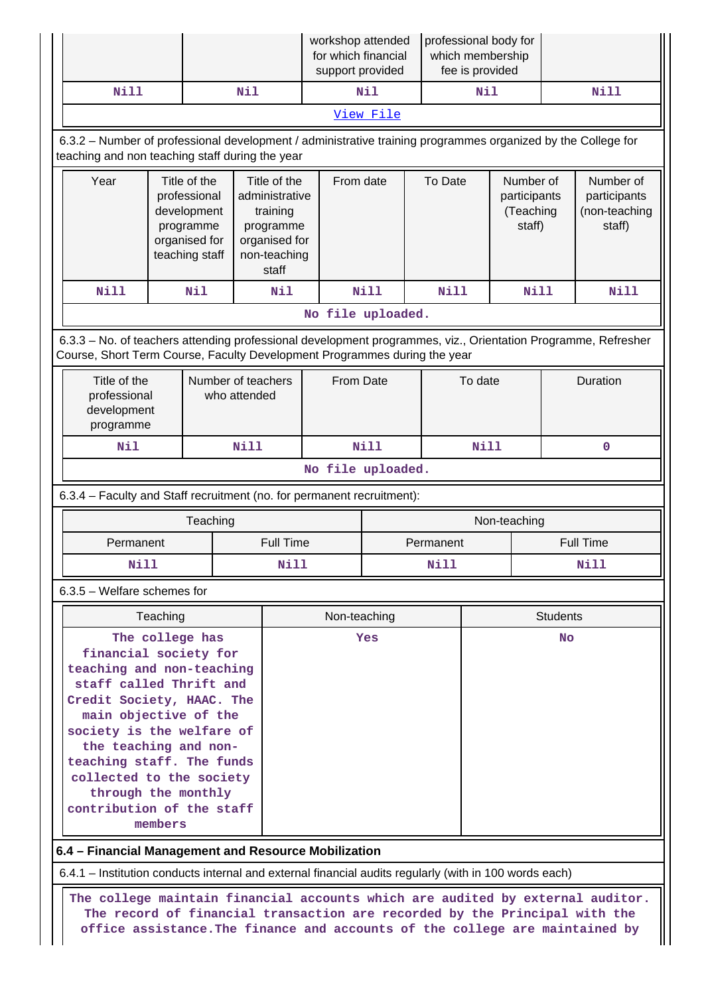|                                                                                                                                                                                                                                                                                                                                                                                              |                                                                                                |                                                                                             |  |                                                                                                   | workshop attended<br>for which financial<br>support provided |             | professional body for<br>which membership<br>fee is provided |                 |                                                  |  |                                                      |
|----------------------------------------------------------------------------------------------------------------------------------------------------------------------------------------------------------------------------------------------------------------------------------------------------------------------------------------------------------------------------------------------|------------------------------------------------------------------------------------------------|---------------------------------------------------------------------------------------------|--|---------------------------------------------------------------------------------------------------|--------------------------------------------------------------|-------------|--------------------------------------------------------------|-----------------|--------------------------------------------------|--|------------------------------------------------------|
| Nill                                                                                                                                                                                                                                                                                                                                                                                         | Nil                                                                                            |                                                                                             |  | Nil                                                                                               |                                                              | Nil         |                                                              | Nill            |                                                  |  |                                                      |
| View File                                                                                                                                                                                                                                                                                                                                                                                    |                                                                                                |                                                                                             |  |                                                                                                   |                                                              |             |                                                              |                 |                                                  |  |                                                      |
| 6.3.2 - Number of professional development / administrative training programmes organized by the College for<br>teaching and non teaching staff during the year                                                                                                                                                                                                                              |                                                                                                |                                                                                             |  |                                                                                                   |                                                              |             |                                                              |                 |                                                  |  |                                                      |
| Year                                                                                                                                                                                                                                                                                                                                                                                         |                                                                                                | Title of the<br>professional<br>development<br>programme<br>organised for<br>teaching staff |  | Title of the<br>administrative<br>training<br>programme<br>organised for<br>non-teaching<br>staff |                                                              | From date   |                                                              | To Date         | Number of<br>participants<br>(Teaching<br>staff) |  | Number of<br>participants<br>(non-teaching<br>staff) |
| Nill                                                                                                                                                                                                                                                                                                                                                                                         |                                                                                                | Nil                                                                                         |  | Nil                                                                                               | <b>Nill</b>                                                  |             | <b>Nill</b>                                                  |                 | Nill                                             |  | <b>Nill</b>                                          |
|                                                                                                                                                                                                                                                                                                                                                                                              |                                                                                                |                                                                                             |  | No file uploaded.                                                                                 |                                                              |             |                                                              |                 |                                                  |  |                                                      |
| 6.3.3 - No. of teachers attending professional development programmes, viz., Orientation Programme, Refresher<br>Course, Short Term Course, Faculty Development Programmes during the year                                                                                                                                                                                                   |                                                                                                |                                                                                             |  |                                                                                                   |                                                              |             |                                                              |                 |                                                  |  |                                                      |
|                                                                                                                                                                                                                                                                                                                                                                                              | Title of the<br>Number of teachers<br>professional<br>who attended<br>development<br>programme |                                                                                             |  | From Date                                                                                         |                                                              | To date     |                                                              | Duration        |                                                  |  |                                                      |
| Nil                                                                                                                                                                                                                                                                                                                                                                                          | Nill                                                                                           |                                                                                             |  | <b>Nill</b>                                                                                       |                                                              | <b>Nill</b> |                                                              | $\mathbf{O}$    |                                                  |  |                                                      |
|                                                                                                                                                                                                                                                                                                                                                                                              |                                                                                                |                                                                                             |  |                                                                                                   | No file uploaded.                                            |             |                                                              |                 |                                                  |  |                                                      |
| 6.3.4 - Faculty and Staff recruitment (no. for permanent recruitment):                                                                                                                                                                                                                                                                                                                       |                                                                                                |                                                                                             |  |                                                                                                   |                                                              |             |                                                              |                 |                                                  |  |                                                      |
|                                                                                                                                                                                                                                                                                                                                                                                              |                                                                                                | Teaching                                                                                    |  |                                                                                                   |                                                              |             |                                                              | Non-teaching    |                                                  |  |                                                      |
| Permanent                                                                                                                                                                                                                                                                                                                                                                                    |                                                                                                |                                                                                             |  | <b>Full Time</b>                                                                                  |                                                              |             | Permanent                                                    |                 |                                                  |  | <b>Full Time</b>                                     |
| <b>Nill</b>                                                                                                                                                                                                                                                                                                                                                                                  |                                                                                                |                                                                                             |  | Nill                                                                                              | Nill                                                         |             |                                                              |                 |                                                  |  | Nill                                                 |
| $6.3.5$ – Welfare schemes for                                                                                                                                                                                                                                                                                                                                                                |                                                                                                |                                                                                             |  |                                                                                                   |                                                              |             |                                                              |                 |                                                  |  |                                                      |
|                                                                                                                                                                                                                                                                                                                                                                                              | Teaching                                                                                       |                                                                                             |  |                                                                                                   | Non-teaching                                                 |             |                                                              | <b>Students</b> |                                                  |  |                                                      |
| The college has<br>financial society for<br>teaching and non-teaching<br>staff called Thrift and<br>Credit Society, HAAC. The<br>main objective of the<br>society is the welfare of<br>the teaching and non-<br>teaching staff. The funds<br>collected to the society<br>through the monthly<br>contribution of the staff<br>members<br>6.4 - Financial Management and Resource Mobilization |                                                                                                |                                                                                             |  |                                                                                                   | Yes                                                          |             |                                                              | <b>No</b>       |                                                  |  |                                                      |
| 6.4.1 – Institution conducts internal and external financial audits regularly (with in 100 words each)                                                                                                                                                                                                                                                                                       |                                                                                                |                                                                                             |  |                                                                                                   |                                                              |             |                                                              |                 |                                                  |  |                                                      |
| The college maintain financial accounts which are audited by external auditor.<br>The record of financial transaction are recorded by the Principal with the<br>office assistance. The finance and accounts of the college are maintained by                                                                                                                                                 |                                                                                                |                                                                                             |  |                                                                                                   |                                                              |             |                                                              |                 |                                                  |  |                                                      |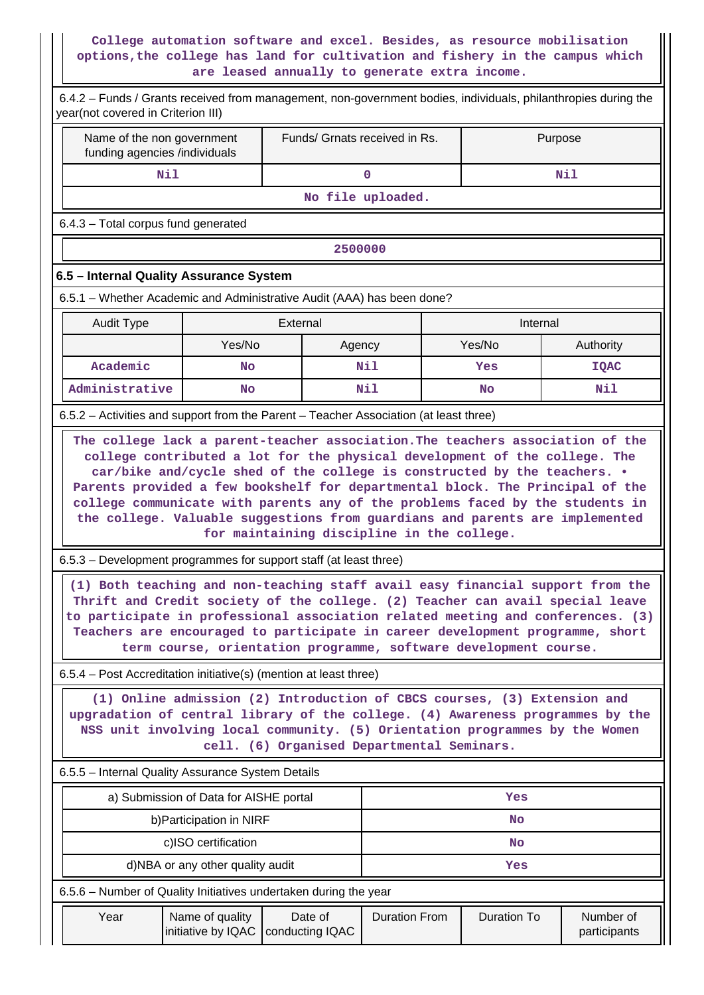#### **College automation software and excel. Besides, as resource mobilisation options,the college has land for cultivation and fishery in the campus which are leased annually to generate extra income.**

| 6.4.2 – Funds / Grants received from management, non-government bodies, individuals, philanthropies during the<br>year(not covered in Criterion III)                                                                                                                                                                                                                                                                                                                                                                                   |                                       |                                                                  |                      |         |                    |                           |  |  |
|----------------------------------------------------------------------------------------------------------------------------------------------------------------------------------------------------------------------------------------------------------------------------------------------------------------------------------------------------------------------------------------------------------------------------------------------------------------------------------------------------------------------------------------|---------------------------------------|------------------------------------------------------------------|----------------------|---------|--------------------|---------------------------|--|--|
| Name of the non government<br>funding agencies /individuals                                                                                                                                                                                                                                                                                                                                                                                                                                                                            | Funds/ Grnats received in Rs.         |                                                                  |                      | Purpose |                    |                           |  |  |
| Nil                                                                                                                                                                                                                                                                                                                                                                                                                                                                                                                                    |                                       | $\mathbf 0$                                                      |                      |         | Nil                |                           |  |  |
|                                                                                                                                                                                                                                                                                                                                                                                                                                                                                                                                        |                                       |                                                                  | No file uploaded.    |         |                    |                           |  |  |
| 6.4.3 - Total corpus fund generated                                                                                                                                                                                                                                                                                                                                                                                                                                                                                                    |                                       |                                                                  |                      |         |                    |                           |  |  |
|                                                                                                                                                                                                                                                                                                                                                                                                                                                                                                                                        |                                       | 2500000                                                          |                      |         |                    |                           |  |  |
| 6.5 - Internal Quality Assurance System                                                                                                                                                                                                                                                                                                                                                                                                                                                                                                |                                       |                                                                  |                      |         |                    |                           |  |  |
| 6.5.1 - Whether Academic and Administrative Audit (AAA) has been done?                                                                                                                                                                                                                                                                                                                                                                                                                                                                 |                                       |                                                                  |                      |         |                    |                           |  |  |
| <b>Audit Type</b><br>External                                                                                                                                                                                                                                                                                                                                                                                                                                                                                                          |                                       |                                                                  |                      |         | Internal           |                           |  |  |
|                                                                                                                                                                                                                                                                                                                                                                                                                                                                                                                                        | Yes/No                                | Agency                                                           |                      |         | Yes/No             | Authority                 |  |  |
| Academic                                                                                                                                                                                                                                                                                                                                                                                                                                                                                                                               | <b>No</b>                             |                                                                  | Nil                  |         | Yes                | <b>IQAC</b>               |  |  |
| Administrative                                                                                                                                                                                                                                                                                                                                                                                                                                                                                                                         | <b>No</b>                             |                                                                  | Nil                  |         | No                 | Nil                       |  |  |
| 6.5.2 – Activities and support from the Parent – Teacher Association (at least three)                                                                                                                                                                                                                                                                                                                                                                                                                                                  |                                       |                                                                  |                      |         |                    |                           |  |  |
| the college. Valuable suggestions from guardians and parents are implemented<br>for maintaining discipline in the college.<br>6.5.3 – Development programmes for support staff (at least three)<br>(1) Both teaching and non-teaching staff avail easy financial support from the<br>Thrift and Credit society of the college. (2) Teacher can avail special leave<br>to participate in professional association related meeting and conferences. (3)<br>Teachers are encouraged to participate in career development programme, short |                                       |                                                                  |                      |         |                    |                           |  |  |
|                                                                                                                                                                                                                                                                                                                                                                                                                                                                                                                                        |                                       | term course, orientation programme, software development course. |                      |         |                    |                           |  |  |
| 6.5.4 – Post Accreditation initiative(s) (mention at least three)                                                                                                                                                                                                                                                                                                                                                                                                                                                                      |                                       |                                                                  |                      |         |                    |                           |  |  |
| (1) Online admission (2) Introduction of CBCS courses, (3) Extension and<br>upgradation of central library of the college. (4) Awareness programmes by the<br>NSS unit involving local community. (5) Orientation programmes by the Women<br>cell. (6) Organised Departmental Seminars.                                                                                                                                                                                                                                                |                                       |                                                                  |                      |         |                    |                           |  |  |
| 6.5.5 - Internal Quality Assurance System Details                                                                                                                                                                                                                                                                                                                                                                                                                                                                                      |                                       |                                                                  |                      |         |                    |                           |  |  |
| a) Submission of Data for AISHE portal                                                                                                                                                                                                                                                                                                                                                                                                                                                                                                 |                                       |                                                                  | Yes                  |         |                    |                           |  |  |
|                                                                                                                                                                                                                                                                                                                                                                                                                                                                                                                                        | b) Participation in NIRF              |                                                                  | No                   |         |                    |                           |  |  |
|                                                                                                                                                                                                                                                                                                                                                                                                                                                                                                                                        | c)ISO certification                   |                                                                  | <b>No</b>            |         |                    |                           |  |  |
|                                                                                                                                                                                                                                                                                                                                                                                                                                                                                                                                        | d)NBA or any other quality audit      |                                                                  |                      |         | Yes                |                           |  |  |
| 6.5.6 – Number of Quality Initiatives undertaken during the year                                                                                                                                                                                                                                                                                                                                                                                                                                                                       |                                       |                                                                  |                      |         |                    |                           |  |  |
| Year                                                                                                                                                                                                                                                                                                                                                                                                                                                                                                                                   | Name of quality<br>initiative by IQAC | Date of<br>conducting IQAC                                       | <b>Duration From</b> |         | <b>Duration To</b> | Number of<br>participants |  |  |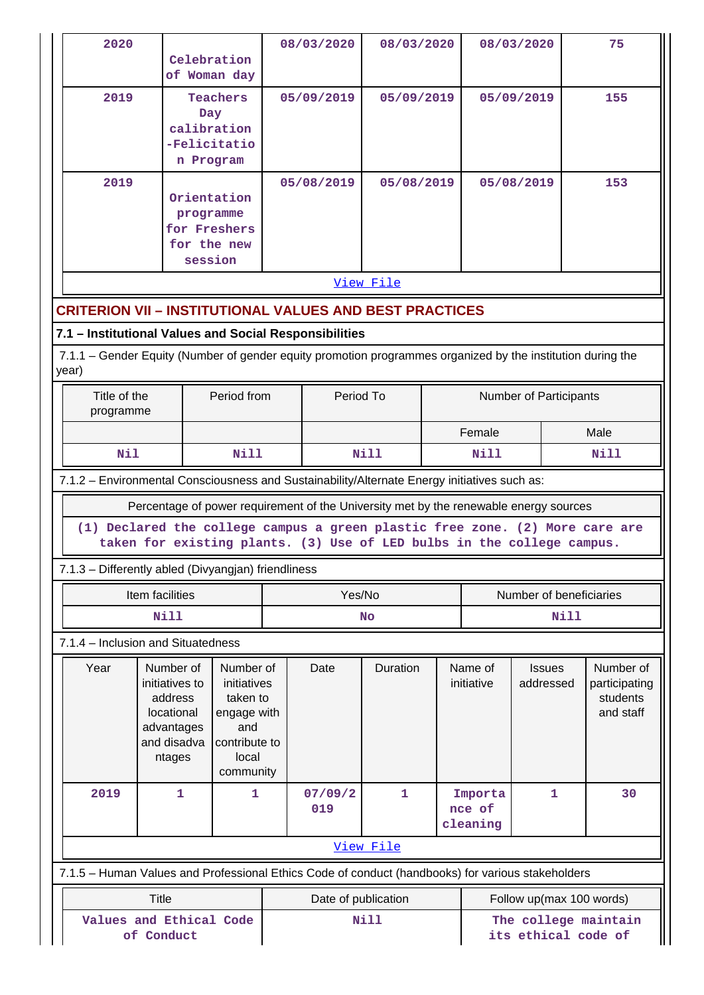| 2020                                                                                                        |                                                                |                                                                                                                                                        |             | 08/03/2020               | 08/03/2020   |            | 08/03/2020                 |                          |      | 75                        |  |  |
|-------------------------------------------------------------------------------------------------------------|----------------------------------------------------------------|--------------------------------------------------------------------------------------------------------------------------------------------------------|-------------|--------------------------|--------------|------------|----------------------------|--------------------------|------|---------------------------|--|--|
|                                                                                                             |                                                                | Celebration<br>of Woman day                                                                                                                            |             |                          |              |            |                            |                          |      |                           |  |  |
| 2019                                                                                                        |                                                                | <b>Teachers</b><br>Day<br>calibration                                                                                                                  |             | 05/09/2019<br>05/09/2019 |              |            | 05/09/2019                 |                          |      | 155                       |  |  |
|                                                                                                             |                                                                | -Felicitatio                                                                                                                                           |             |                          |              |            |                            |                          |      |                           |  |  |
|                                                                                                             |                                                                | n Program                                                                                                                                              |             |                          |              |            |                            |                          |      |                           |  |  |
| 2019                                                                                                        |                                                                |                                                                                                                                                        |             | 05/08/2019               | 05/08/2019   |            | 05/08/2019                 |                          |      | 153                       |  |  |
|                                                                                                             |                                                                | Orientation<br>programme                                                                                                                               |             |                          |              |            |                            |                          |      |                           |  |  |
|                                                                                                             |                                                                | for Freshers                                                                                                                                           |             |                          |              |            |                            |                          |      |                           |  |  |
|                                                                                                             |                                                                | for the new<br>session                                                                                                                                 |             |                          |              |            |                            |                          |      |                           |  |  |
|                                                                                                             |                                                                |                                                                                                                                                        |             |                          | View File    |            |                            |                          |      |                           |  |  |
|                                                                                                             | <b>CRITERION VII - INSTITUTIONAL VALUES AND BEST PRACTICES</b> |                                                                                                                                                        |             |                          |              |            |                            |                          |      |                           |  |  |
| 7.1 - Institutional Values and Social Responsibilities                                                      |                                                                |                                                                                                                                                        |             |                          |              |            |                            |                          |      |                           |  |  |
| 7.1.1 – Gender Equity (Number of gender equity promotion programmes organized by the institution during the |                                                                |                                                                                                                                                        |             |                          |              |            |                            |                          |      |                           |  |  |
| year)                                                                                                       |                                                                |                                                                                                                                                        |             |                          |              |            |                            |                          |      |                           |  |  |
|                                                                                                             | Title of the<br>Period from<br>programme                       |                                                                                                                                                        |             | Period To                |              |            | Number of Participants     |                          |      |                           |  |  |
|                                                                                                             |                                                                |                                                                                                                                                        |             |                          |              |            | Female                     |                          | Male |                           |  |  |
| Nil                                                                                                         |                                                                | Nill                                                                                                                                                   |             | <b>Nill</b>              |              |            | <b>Nill</b><br><b>Nill</b> |                          |      |                           |  |  |
| 7.1.2 - Environmental Consciousness and Sustainability/Alternate Energy initiatives such as:                |                                                                |                                                                                                                                                        |             |                          |              |            |                            |                          |      |                           |  |  |
|                                                                                                             |                                                                | Percentage of power requirement of the University met by the renewable energy sources                                                                  |             |                          |              |            |                            |                          |      |                           |  |  |
|                                                                                                             |                                                                | (1) Declared the college campus a green plastic free zone. (2) More care are<br>taken for existing plants. (3) Use of LED bulbs in the college campus. |             |                          |              |            |                            |                          |      |                           |  |  |
| 7.1.3 - Differently abled (Divyangjan) friendliness                                                         |                                                                |                                                                                                                                                        |             |                          |              |            |                            |                          |      |                           |  |  |
|                                                                                                             | Item facilities                                                |                                                                                                                                                        |             | Yes/No                   |              |            | Number of beneficiaries    |                          |      |                           |  |  |
| <b>Nill</b>                                                                                                 |                                                                |                                                                                                                                                        |             |                          | <b>No</b>    | Nill       |                            |                          |      |                           |  |  |
| 7.1.4 - Inclusion and Situatedness                                                                          |                                                                |                                                                                                                                                        |             |                          |              |            |                            |                          |      |                           |  |  |
| Year                                                                                                        | Number of                                                      | Number of                                                                                                                                              |             | Date                     | Duration     |            | Name of                    | <b>Issues</b>            |      | Number of                 |  |  |
|                                                                                                             | initiatives to<br>address                                      |                                                                                                                                                        | initiatives |                          |              | initiative |                            | addressed                |      | participating<br>students |  |  |
|                                                                                                             | locational                                                     | taken to<br>engage with                                                                                                                                |             |                          |              |            |                            |                          |      | and staff                 |  |  |
|                                                                                                             | advantages                                                     | and                                                                                                                                                    |             |                          |              |            |                            |                          |      |                           |  |  |
|                                                                                                             |                                                                |                                                                                                                                                        |             |                          |              |            |                            |                          |      |                           |  |  |
|                                                                                                             | and disadva<br>ntages                                          | contribute to<br>local                                                                                                                                 |             |                          |              |            |                            |                          |      |                           |  |  |
|                                                                                                             |                                                                | community                                                                                                                                              |             |                          |              |            |                            |                          |      |                           |  |  |
| 2019                                                                                                        | 1                                                              | 1                                                                                                                                                      |             | 07/09/2                  | $\mathbf{1}$ |            | Importa                    | $\mathbf{1}$             |      | 30                        |  |  |
|                                                                                                             |                                                                |                                                                                                                                                        |             | 019                      |              |            | nce of<br>cleaning         |                          |      |                           |  |  |
|                                                                                                             |                                                                |                                                                                                                                                        |             |                          | View File    |            |                            |                          |      |                           |  |  |
| 7.1.5 - Human Values and Professional Ethics Code of conduct (handbooks) for various stakeholders           |                                                                |                                                                                                                                                        |             |                          |              |            |                            |                          |      |                           |  |  |
|                                                                                                             | <b>Title</b>                                                   |                                                                                                                                                        |             | Date of publication      |              |            |                            | Follow up(max 100 words) |      |                           |  |  |
|                                                                                                             | of Conduct                                                     | Values and Ethical Code                                                                                                                                |             |                          | Nill         |            |                            | its ethical code of      |      | The college maintain      |  |  |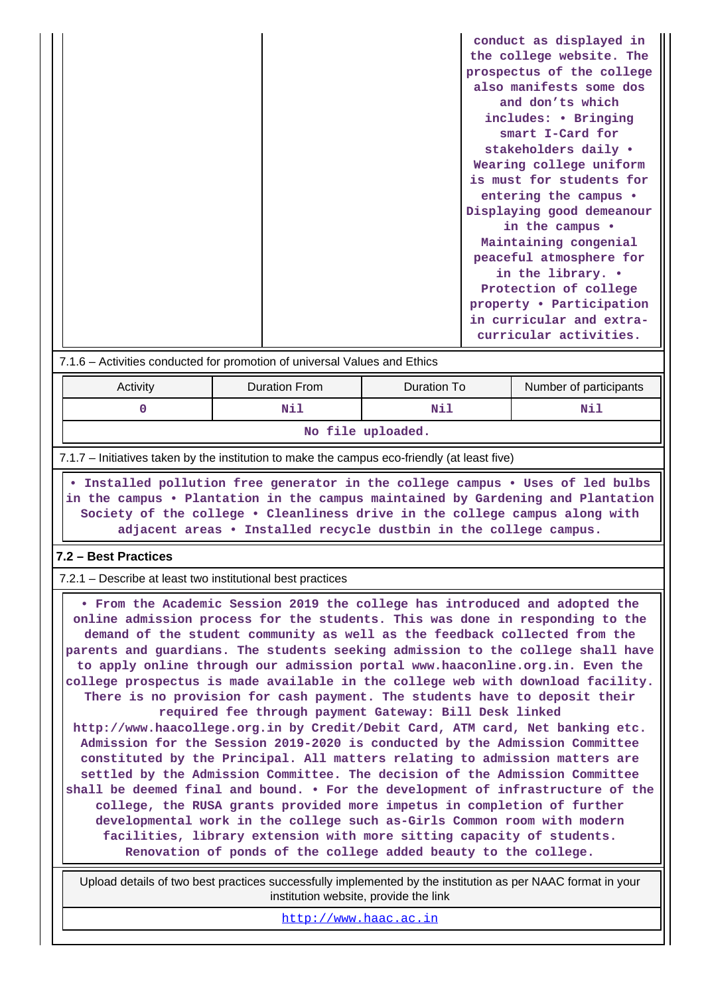**• Installed pollution free generator in the college campus • Uses of led bulbs in the campus • Plantation in the campus maintained by Gardening and Plantation Society of the college • Cleanliness drive in the college campus along with adjacent areas • Installed recycle dustbin in the college campus.**

#### **7.2 – Best Practices**

 $1 - 1$ 

7.2.1 – Describe at least two institutional best practices

 **• From the Academic Session 2019 the college has introduced and adopted the online admission process for the students. This was done in responding to the demand of the student community as well as the feedback collected from the parents and guardians. The students seeking admission to the college shall have to apply online through our admission portal www.haaconline.org.in. Even the college prospectus is made available in the college web with download facility. There is no provision for cash payment. The students have to deposit their required fee through payment Gateway: Bill Desk linked http://www.haacollege.org.in by Credit/Debit Card, ATM card, Net banking etc. Admission for the Session 2019-2020 is conducted by the Admission Committee constituted by the Principal. All matters relating to admission matters are settled by the Admission Committee. The decision of the Admission Committee shall be deemed final and bound. • For the development of infrastructure of the college, the RUSA grants provided more impetus in completion of further developmental work in the college such as-Girls Common room with modern facilities, library extension with more sitting capacity of students. Renovation of ponds of the college added beauty to the college.**

 Upload details of two best practices successfully implemented by the institution as per NAAC format in your institution website, provide the link

<http://www.haac.ac.in>